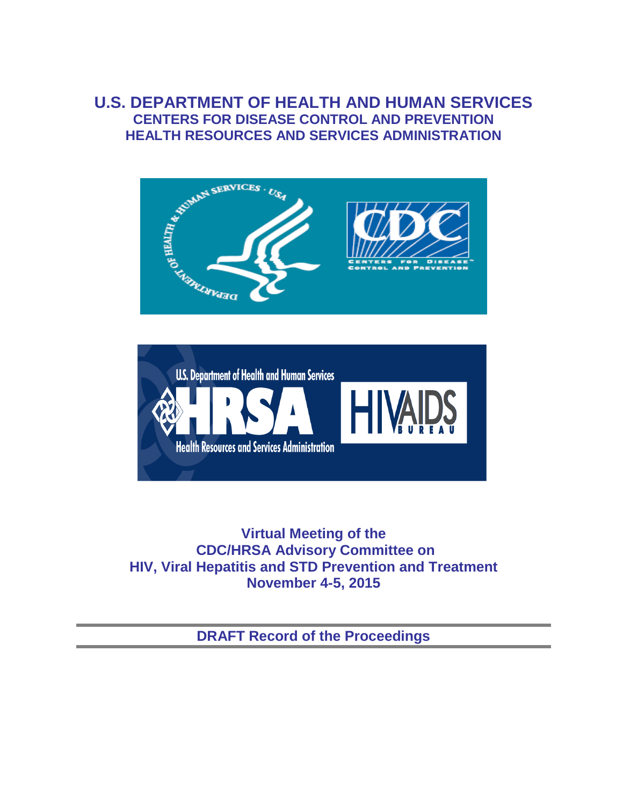# **U.S. DEPARTMENT OF HEALTH AND HUMAN SERVICES CENTERS FOR DISEASE CONTROL AND PREVENTION HEALTH RESOURCES AND SERVICES ADMINISTRATION**





**Virtual Meeting of the CDC/HRSA Advisory Committee on HIV, Viral Hepatitis and STD Prevention and Treatment November 4-5, 2015** 

**DRAFT Record of the Proceedings**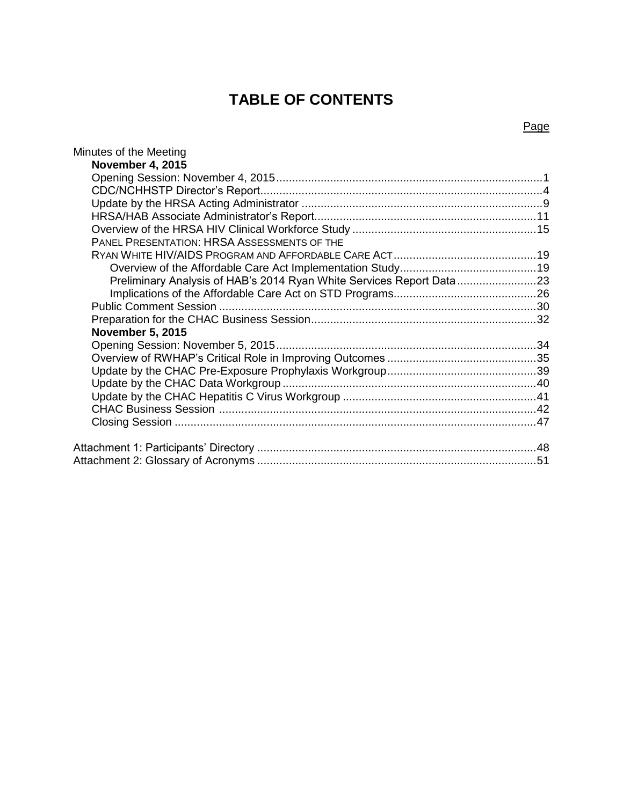# **TABLE OF CONTENTS**

## Minutes of the Meeting **November 4, 2015**  Opening Session: November 4, 2015 .................................................................................... 1 CDC/NCHHSTP Director's Report......................................................................................... 4 Update by the HRSA Acting Administrator ............................................................................ 9 HRSA/HAB Associate Administrator's Report......................................................................11 Overview of the HRSA HIV Clinical Workforce Study ..........................................................15 PANEL PRESENTATION: HRSA ASSESSMENTS OF THE RYAN WHITE HIV/AIDS PROGRAM AND AFFORDABLE CARE ACT.............................................19 Overview of the Affordable Care Act Implementation Study ...........................................19 Preliminary Analysis of HAB's 2014 Ryan White Services Report Data.........................23 Implications of the Affordable Care Act on STD Programs.............................................26 Public Comment Session ....................................................................................................30

| <b>November 5, 2015</b> |  |
|-------------------------|--|
|                         |  |
|                         |  |
|                         |  |
|                         |  |
|                         |  |
|                         |  |
|                         |  |
|                         |  |
|                         |  |

#### Page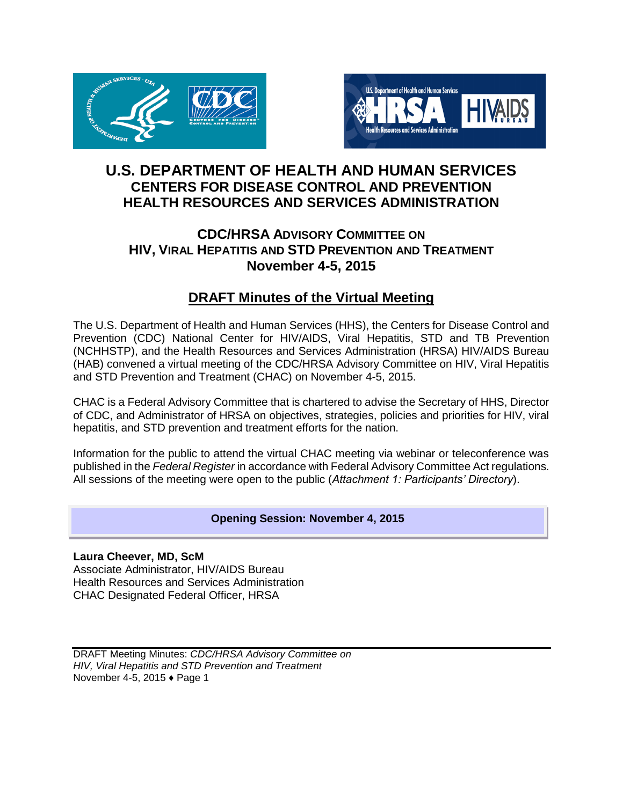



# **U.S. DEPARTMENT OF HEALTH AND HUMAN SERVICES CENTERS FOR DISEASE CONTROL AND PREVENTION HEALTH RESOURCES AND SERVICES ADMINISTRATION**

# **CDC/HRSA ADVISORY COMMITTEE ON HIV, VIRAL HEPATITIS AND STD PREVENTION AND TREATMENT November 4-5, 2015**

# **DRAFT Minutes of the Virtual Meeting**

The U.S. Department of Health and Human Services (HHS), the Centers for Disease Control and Prevention (CDC) National Center for HIV/AIDS, Viral Hepatitis, STD and TB Prevention (NCHHSTP), and the Health Resources and Services Administration (HRSA) HIV/AIDS Bureau (HAB) convened a virtual meeting of the CDC/HRSA Advisory Committee on HIV, Viral Hepatitis and STD Prevention and Treatment (CHAC) on November 4-5, 2015.

CHAC is a Federal Advisory Committee that is chartered to advise the Secretary of HHS, Director of CDC, and Administrator of HRSA on objectives, strategies, policies and priorities for HIV, viral hepatitis, and STD prevention and treatment efforts for the nation.

Information for the public to attend the virtual CHAC meeting via webinar or teleconference was published in the *Federal Register* in accordance with Federal Advisory Committee Act regulations. All sessions of the meeting were open to the public (*Attachment 1: Participants' Directory*).

## **Opening Session: November 4, 2015**

**Laura Cheever, MD, ScM**  Associate Administrator, HIV/AIDS Bureau Health Resources and Services Administration CHAC Designated Federal Officer, HRSA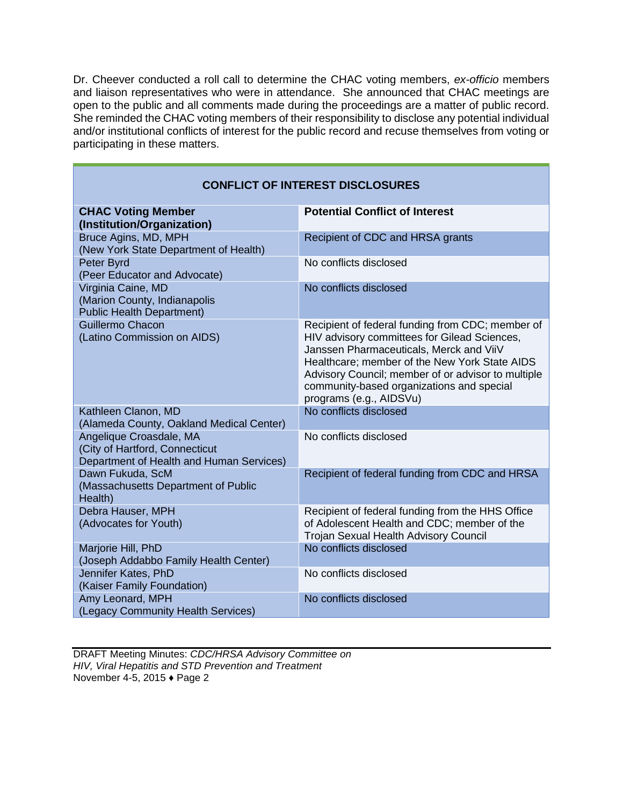Dr. Cheever conducted a roll call to determine the CHAC voting members, *ex-officio* members and liaison representatives who were in attendance. She announced that CHAC meetings are open to the public and all comments made during the proceedings are a matter of public record. She reminded the CHAC voting members of their responsibility to disclose any potential individual and/or institutional conflicts of interest for the public record and recuse themselves from voting or participating in these matters.

| <b>CONFLICT OF INTEREST DISCLOSURES</b>                                                               |                                                                                                                                                                                                                                                                                                                            |
|-------------------------------------------------------------------------------------------------------|----------------------------------------------------------------------------------------------------------------------------------------------------------------------------------------------------------------------------------------------------------------------------------------------------------------------------|
| <b>CHAC Voting Member</b><br>(Institution/Organization)                                               | <b>Potential Conflict of Interest</b>                                                                                                                                                                                                                                                                                      |
| Bruce Agins, MD, MPH<br>(New York State Department of Health)                                         | Recipient of CDC and HRSA grants                                                                                                                                                                                                                                                                                           |
| Peter Byrd<br>(Peer Educator and Advocate)                                                            | No conflicts disclosed                                                                                                                                                                                                                                                                                                     |
| Virginia Caine, MD<br>(Marion County, Indianapolis<br><b>Public Health Department)</b>                | No conflicts disclosed                                                                                                                                                                                                                                                                                                     |
| Guillermo Chacon<br>(Latino Commission on AIDS)                                                       | Recipient of federal funding from CDC; member of<br>HIV advisory committees for Gilead Sciences,<br>Janssen Pharmaceuticals, Merck and ViiV<br>Healthcare; member of the New York State AIDS<br>Advisory Council; member of or advisor to multiple<br>community-based organizations and special<br>programs (e.g., AIDSVu) |
| Kathleen Clanon, MD<br>(Alameda County, Oakland Medical Center)                                       | No conflicts disclosed                                                                                                                                                                                                                                                                                                     |
| Angelique Croasdale, MA<br>(City of Hartford, Connecticut<br>Department of Health and Human Services) | No conflicts disclosed                                                                                                                                                                                                                                                                                                     |
| Dawn Fukuda, ScM<br>(Massachusetts Department of Public<br>Health)                                    | Recipient of federal funding from CDC and HRSA                                                                                                                                                                                                                                                                             |
| Debra Hauser, MPH<br>(Advocates for Youth)                                                            | Recipient of federal funding from the HHS Office<br>of Adolescent Health and CDC; member of the<br>Trojan Sexual Health Advisory Council                                                                                                                                                                                   |
| Marjorie Hill, PhD<br>(Joseph Addabbo Family Health Center)                                           | No conflicts disclosed                                                                                                                                                                                                                                                                                                     |
| Jennifer Kates, PhD<br>(Kaiser Family Foundation)                                                     | No conflicts disclosed                                                                                                                                                                                                                                                                                                     |
| Amy Leonard, MPH<br>(Legacy Community Health Services)                                                | No conflicts disclosed                                                                                                                                                                                                                                                                                                     |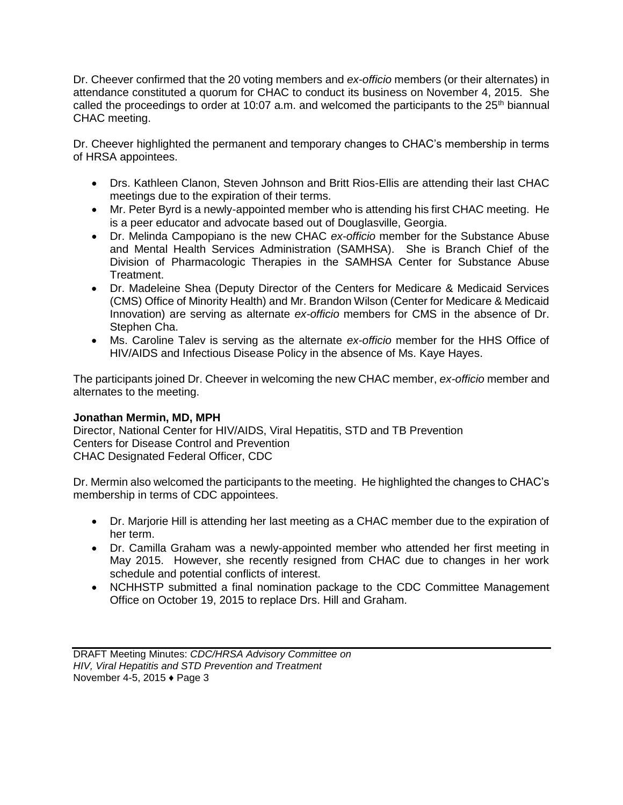Dr. Cheever confirmed that the 20 voting members and *ex-officio* members (or their alternates) in attendance constituted a quorum for CHAC to conduct its business on November 4, 2015. She called the proceedings to order at 10:07 a.m. and welcomed the participants to the 25<sup>th</sup> biannual CHAC meeting.

Dr. Cheever highlighted the permanent and temporary changes to CHAC's membership in terms of HRSA appointees.

- Drs. Kathleen Clanon, Steven Johnson and Britt Rios-Ellis are attending their last CHAC meetings due to the expiration of their terms.
- Mr. Peter Byrd is a newly-appointed member who is attending his first CHAC meeting. He is a peer educator and advocate based out of Douglasville, Georgia.
- Dr. Melinda Campopiano is the new CHAC *ex-officio* member for the Substance Abuse and Mental Health Services Administration (SAMHSA). She is Branch Chief of the Division of Pharmacologic Therapies in the SAMHSA Center for Substance Abuse Treatment.
- Dr. Madeleine Shea (Deputy Director of the Centers for Medicare & Medicaid Services (CMS) Office of Minority Health) and Mr. Brandon Wilson (Center for Medicare & Medicaid Innovation) are serving as alternate *ex-officio* members for CMS in the absence of Dr. Stephen Cha.
- Ms. Caroline Talev is serving as the alternate *ex-officio* member for the HHS Office of HIV/AIDS and Infectious Disease Policy in the absence of Ms. Kaye Hayes.

The participants joined Dr. Cheever in welcoming the new CHAC member, *ex-officio* member and alternates to the meeting.

## **Jonathan Mermin, MD, MPH**

Director, National Center for HIV/AIDS, Viral Hepatitis, STD and TB Prevention Centers for Disease Control and Prevention CHAC Designated Federal Officer, CDC

Dr. Mermin also welcomed the participants to the meeting. He highlighted the changes to CHAC's membership in terms of CDC appointees.

- Dr. Marjorie Hill is attending her last meeting as a CHAC member due to the expiration of her term.
- Dr. Camilla Graham was a newly-appointed member who attended her first meeting in May 2015. However, she recently resigned from CHAC due to changes in her work schedule and potential conflicts of interest.
- NCHHSTP submitted a final nomination package to the CDC Committee Management Office on October 19, 2015 to replace Drs. Hill and Graham.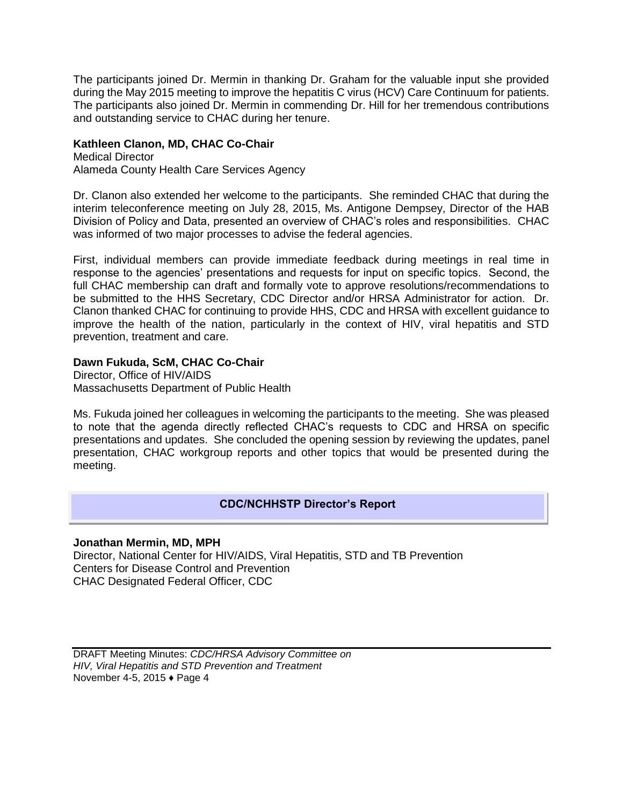The participants joined Dr. Mermin in thanking Dr. Graham for the valuable input she provided during the May 2015 meeting to improve the hepatitis C virus (HCV) Care Continuum for patients. The participants also joined Dr. Mermin in commending Dr. Hill for her tremendous contributions and outstanding service to CHAC during her tenure.

## **Kathleen Clanon, MD, CHAC Co-Chair**

Medical Director Alameda County Health Care Services Agency

Dr. Clanon also extended her welcome to the participants. She reminded CHAC that during the interim teleconference meeting on July 28, 2015, Ms. Antigone Dempsey, Director of the HAB Division of Policy and Data, presented an overview of CHAC's roles and responsibilities. CHAC was informed of two major processes to advise the federal agencies.

First, individual members can provide immediate feedback during meetings in real time in response to the agencies' presentations and requests for input on specific topics. Second, the full CHAC membership can draft and formally vote to approve resolutions/recommendations to be submitted to the HHS Secretary, CDC Director and/or HRSA Administrator for action. Dr. Clanon thanked CHAC for continuing to provide HHS, CDC and HRSA with excellent guidance to improve the health of the nation, particularly in the context of HIV, viral hepatitis and STD prevention, treatment and care.

## **Dawn Fukuda, ScM, CHAC Co-Chair**

Director, Office of HIV/AIDS Massachusetts Department of Public Health

Ms. Fukuda joined her colleagues in welcoming the participants to the meeting. She was pleased to note that the agenda directly reflected CHAC's requests to CDC and HRSA on specific presentations and updates. She concluded the opening session by reviewing the updates, panel presentation, CHAC workgroup reports and other topics that would be presented during the meeting.

## **CDC/NCHHSTP Director's Report**

## **Jonathan Mermin, MD, MPH**

Director, National Center for HIV/AIDS, Viral Hepatitis, STD and TB Prevention Centers for Disease Control and Prevention CHAC Designated Federal Officer, CDC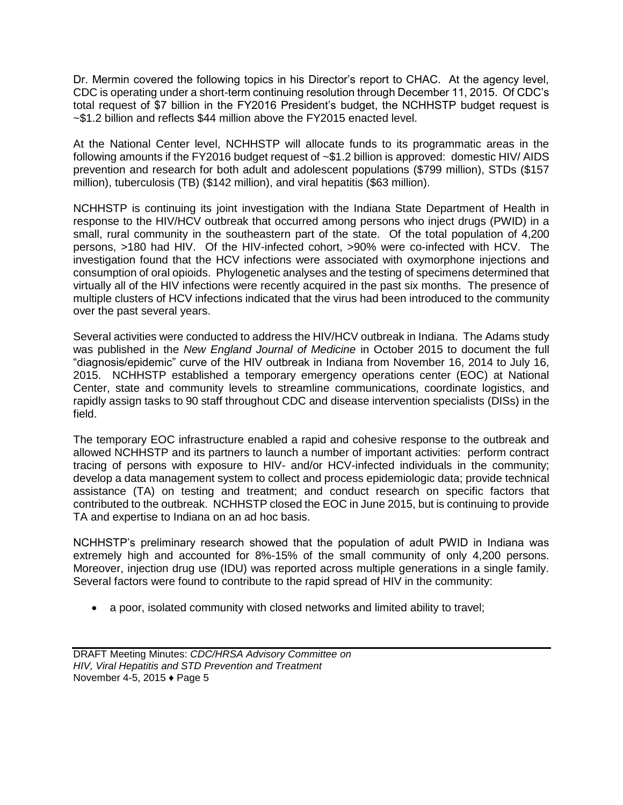Dr. Mermin covered the following topics in his Director's report to CHAC. At the agency level, CDC is operating under a short-term continuing resolution through December 11, 2015. Of CDC's total request of \$7 billion in the FY2016 President's budget, the NCHHSTP budget request is ~\$1.2 billion and reflects \$44 million above the FY2015 enacted level.

At the National Center level, NCHHSTP will allocate funds to its programmatic areas in the following amounts if the FY2016 budget request of ~\$1.2 billion is approved: domestic HIV/ AIDS prevention and research for both adult and adolescent populations (\$799 million), STDs (\$157 million), tuberculosis (TB) (\$142 million), and viral hepatitis (\$63 million).

NCHHSTP is continuing its joint investigation with the Indiana State Department of Health in response to the HIV/HCV outbreak that occurred among persons who inject drugs (PWID) in a small, rural community in the southeastern part of the state. Of the total population of 4,200 persons, >180 had HIV. Of the HIV-infected cohort, >90% were co-infected with HCV. The investigation found that the HCV infections were associated with oxymorphone injections and consumption of oral opioids. Phylogenetic analyses and the testing of specimens determined that virtually all of the HIV infections were recently acquired in the past six months. The presence of multiple clusters of HCV infections indicated that the virus had been introduced to the community over the past several years.

Several activities were conducted to address the HIV/HCV outbreak in Indiana. The Adams study was published in the *New England Journal of Medicine* in October 2015 to document the full "diagnosis/epidemic" curve of the HIV outbreak in Indiana from November 16, 2014 to July 16, 2015. NCHHSTP established a temporary emergency operations center (EOC) at National Center, state and community levels to streamline communications, coordinate logistics, and rapidly assign tasks to 90 staff throughout CDC and disease intervention specialists (DISs) in the field.

The temporary EOC infrastructure enabled a rapid and cohesive response to the outbreak and allowed NCHHSTP and its partners to launch a number of important activities: perform contract tracing of persons with exposure to HIV- and/or HCV-infected individuals in the community; develop a data management system to collect and process epidemiologic data; provide technical assistance (TA) on testing and treatment; and conduct research on specific factors that contributed to the outbreak. NCHHSTP closed the EOC in June 2015, but is continuing to provide TA and expertise to Indiana on an ad hoc basis.

NCHHSTP's preliminary research showed that the population of adult PWID in Indiana was extremely high and accounted for 8%-15% of the small community of only 4,200 persons. Moreover, injection drug use (IDU) was reported across multiple generations in a single family. Several factors were found to contribute to the rapid spread of HIV in the community:

a poor, isolated community with closed networks and limited ability to travel;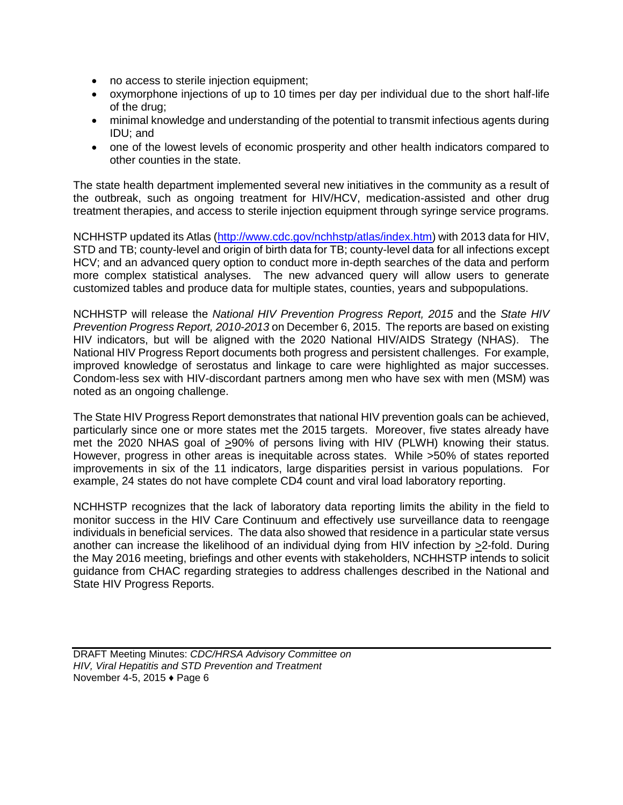- no access to sterile injection equipment;
- oxymorphone injections of up to 10 times per day per individual due to the short half-life of the drug;
- minimal knowledge and understanding of the potential to transmit infectious agents during IDU; and
- one of the lowest levels of economic prosperity and other health indicators compared to other counties in the state.

The state health department implemented several new initiatives in the community as a result of the outbreak, such as ongoing treatment for HIV/HCV, medication-assisted and other drug treatment therapies, and access to sterile injection equipment through syringe service programs.

NCHHSTP updated its Atlas [\(http://www.cdc.gov/nchhstp/atlas/index.htm\)](http://www.cdc.gov/nchhstp/atlas/index.htm) with 2013 data for HIV, STD and TB; county-level and origin of birth data for TB; county-level data for all infections except HCV; and an advanced query option to conduct more in-depth searches of the data and perform more complex statistical analyses. The new advanced query will allow users to generate customized tables and produce data for multiple states, counties, years and subpopulations.

NCHHSTP will release the *National HIV Prevention Progress Report, 2015* and the *State HIV Prevention Progress Report, 2010-2013* on December 6, 2015. The reports are based on existing HIV indicators, but will be aligned with the 2020 National HIV/AIDS Strategy (NHAS). The National HIV Progress Report documents both progress and persistent challenges. For example, improved knowledge of serostatus and linkage to care were highlighted as major successes. Condom-less sex with HIV-discordant partners among men who have sex with men (MSM) was noted as an ongoing challenge.

The State HIV Progress Report demonstrates that national HIV prevention goals can be achieved, particularly since one or more states met the 2015 targets. Moreover, five states already have met the 2020 NHAS goal of  $\geq 90\%$  of persons living with HIV (PLWH) knowing their status. However, progress in other areas is inequitable across states. While >50% of states reported improvements in six of the 11 indicators, large disparities persist in various populations. For example, 24 states do not have complete CD4 count and viral load laboratory reporting.

NCHHSTP recognizes that the lack of laboratory data reporting limits the ability in the field to monitor success in the HIV Care Continuum and effectively use surveillance data to reengage individuals in beneficial services. The data also showed that residence in a particular state versus another can increase the likelihood of an individual dying from HIV infection by >2-fold. During the May 2016 meeting, briefings and other events with stakeholders, NCHHSTP intends to solicit guidance from CHAC regarding strategies to address challenges described in the National and State HIV Progress Reports.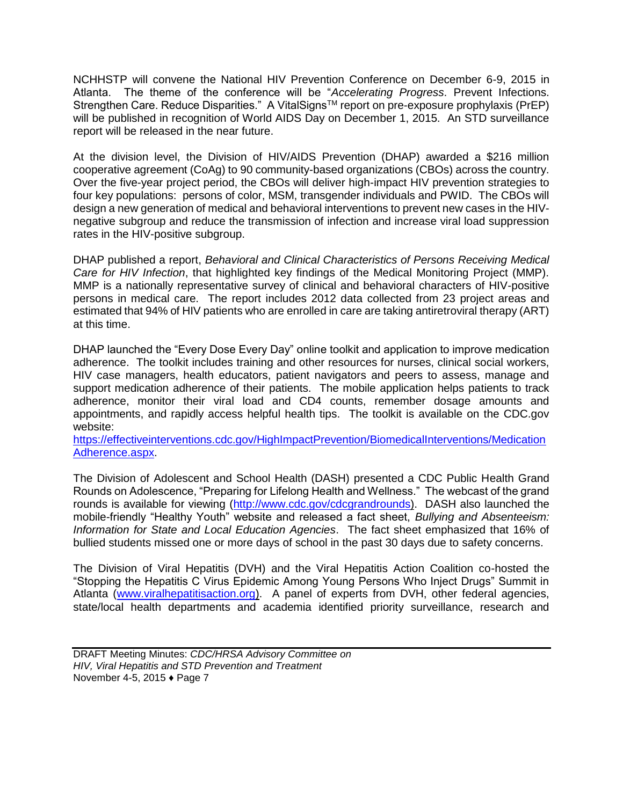NCHHSTP will convene the National HIV Prevention Conference on December 6-9, 2015 in Atlanta. The theme of the conference will be "*Accelerating Progress*. Prevent Infections. Strengthen Care. Reduce Disparities." A VitalSigns™ report on pre-exposure prophylaxis (PrEP) will be published in recognition of World AIDS Day on December 1, 2015. An STD surveillance report will be released in the near future.

At the division level, the Division of HIV/AIDS Prevention (DHAP) awarded a \$216 million cooperative agreement (CoAg) to 90 community-based organizations (CBOs) across the country. Over the five-year project period, the CBOs will deliver high-impact HIV prevention strategies to four key populations: persons of color, MSM, transgender individuals and PWID. The CBOs will design a new generation of medical and behavioral interventions to prevent new cases in the HIVnegative subgroup and reduce the transmission of infection and increase viral load suppression rates in the HIV-positive subgroup.

DHAP published a report, *Behavioral and Clinical Characteristics of Persons Receiving Medical Care for HIV Infection*, that highlighted key findings of the Medical Monitoring Project (MMP). MMP is a nationally representative survey of clinical and behavioral characters of HIV-positive persons in medical care. The report includes 2012 data collected from 23 project areas and estimated that 94% of HIV patients who are enrolled in care are taking antiretroviral therapy (ART) at this time.

DHAP launched the "Every Dose Every Day" online toolkit and application to improve medication adherence. The toolkit includes training and other resources for nurses, clinical social workers, HIV case managers, health educators, patient navigators and peers to assess, manage and support medication adherence of their patients. The mobile application helps patients to track adherence, monitor their viral load and CD4 counts, remember dosage amounts and appointments, and rapidly access helpful health tips. The toolkit is available on the CDC.gov website:

[https://effectiveinterventions.cdc.gov/HighImpactPrevention/BiomedicalInterventions/Medication](https://effectiveinterventions.cdc.gov/HighImpactPrevention/BiomedicalInterventions/MedicationAdherence.aspx) [Adherence.aspx.](https://effectiveinterventions.cdc.gov/HighImpactPrevention/BiomedicalInterventions/MedicationAdherence.aspx)

The Division of Adolescent and School Health (DASH) presented a CDC Public Health Grand Rounds on Adolescence, "Preparing for Lifelong Health and Wellness." The webcast of the grand rounds is available for viewing [\(http://www.cdc.gov/cdcgrandrounds\)](http://www.cdc.gov/cdcgrandrounds). DASH also launched the mobile-friendly "Healthy Youth" website and released a fact sheet, *Bullying and Absenteeism: Information for State and Local Education Agencies*. The fact sheet emphasized that 16% of bullied students missed one or more days of school in the past 30 days due to safety concerns.

The Division of Viral Hepatitis (DVH) and the Viral Hepatitis Action Coalition co-hosted the "Stopping the Hepatitis C Virus Epidemic Among Young Persons Who Inject Drugs" Summit in Atlanta [\(www.viralhepatitisaction.org\)](http://www.viralhepatitisaction.org/). A panel of experts from DVH, other federal agencies, state/local health departments and academia identified priority surveillance, research and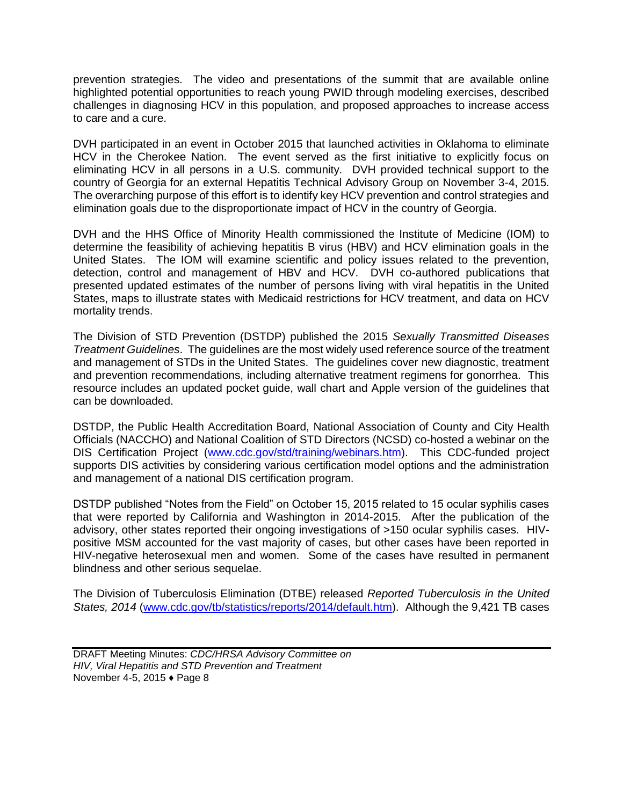prevention strategies. The video and presentations of the summit that are available online highlighted potential opportunities to reach young PWID through modeling exercises, described challenges in diagnosing HCV in this population, and proposed approaches to increase access to care and a cure.

DVH participated in an event in October 2015 that launched activities in Oklahoma to eliminate HCV in the Cherokee Nation. The event served as the first initiative to explicitly focus on eliminating HCV in all persons in a U.S. community. DVH provided technical support to the country of Georgia for an external Hepatitis Technical Advisory Group on November 3-4, 2015. The overarching purpose of this effort is to identify key HCV prevention and control strategies and elimination goals due to the disproportionate impact of HCV in the country of Georgia.

DVH and the HHS Office of Minority Health commissioned the Institute of Medicine (IOM) to determine the feasibility of achieving hepatitis B virus (HBV) and HCV elimination goals in the United States. The IOM will examine scientific and policy issues related to the prevention, detection, control and management of HBV and HCV. DVH co-authored publications that presented updated estimates of the number of persons living with viral hepatitis in the United States, maps to illustrate states with Medicaid restrictions for HCV treatment, and data on HCV mortality trends.

The Division of STD Prevention (DSTDP) published the 2015 *Sexually Transmitted Diseases Treatment Guidelines*. The guidelines are the most widely used reference source of the treatment and management of STDs in the United States. The guidelines cover new diagnostic, treatment and prevention recommendations, including alternative treatment regimens for gonorrhea. This resource includes an updated pocket guide, wall chart and Apple version of the guidelines that can be downloaded.

DSTDP, the Public Health Accreditation Board, National Association of County and City Health Officials (NACCHO) and National Coalition of STD Directors (NCSD) co-hosted a webinar on the DIS Certification Project [\(www.cdc.gov/std/training/webinars.htm\)](http://www.cdc.gov/std/training/webinars.htm). This CDC-funded project supports DIS activities by considering various certification model options and the administration and management of a national DIS certification program.

DSTDP published "Notes from the Field" on October 15, 2015 related to 15 ocular syphilis cases that were reported by California and Washington in 2014-2015. After the publication of the advisory, other states reported their ongoing investigations of >150 ocular syphilis cases. HIVpositive MSM accounted for the vast majority of cases, but other cases have been reported in HIV-negative heterosexual men and women. Some of the cases have resulted in permanent blindness and other serious sequelae.

The Division of Tuberculosis Elimination (DTBE) released *Reported Tuberculosis in the United States, 2014* [\(www.cdc.gov/tb/statistics/reports/2014/default.htm\)](http://www.cdc.gov/tb/statistics/reports/2014/default.htm). Although the 9,421 TB cases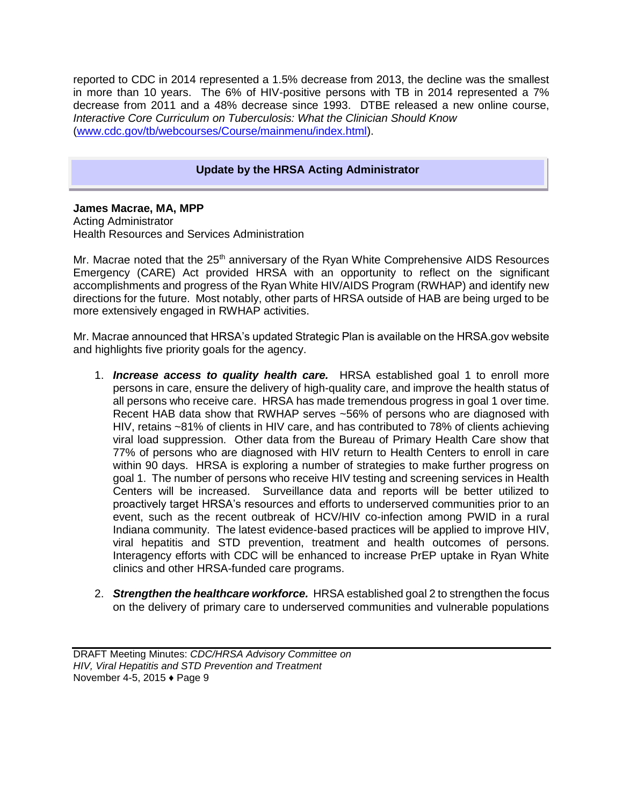reported to CDC in 2014 represented a 1.5% decrease from 2013, the decline was the smallest in more than 10 years. The 6% of HIV-positive persons with TB in 2014 represented a 7% decrease from 2011 and a 48% decrease since 1993. DTBE released a new online course, *Interactive Core Curriculum on Tuberculosis: What the Clinician Should Know* [\(www.cdc.gov/tb/webcourses/Course/mainmenu/index.html\)](http://www.cdc.gov/tb/webcourses/Course/mainmenu/index.html).

## **Update by the HRSA Acting Administrator**

**James Macrae, MA, MPP** 

Acting Administrator Health Resources and Services Administration

Mr. Macrae noted that the  $25<sup>th</sup>$  anniversary of the Ryan White Comprehensive AIDS Resources Emergency (CARE) Act provided HRSA with an opportunity to reflect on the significant accomplishments and progress of the Ryan White HIV/AIDS Program (RWHAP) and identify new directions for the future. Most notably, other parts of HRSA outside of HAB are being urged to be more extensively engaged in RWHAP activities.

Mr. Macrae announced that HRSA's updated Strategic Plan is available on the HRSA.gov website and highlights five priority goals for the agency.

- 1. *Increase access to quality health care.* HRSA established goal 1 to enroll more persons in care, ensure the delivery of high-quality care, and improve the health status of all persons who receive care. HRSA has made tremendous progress in goal 1 over time. Recent HAB data show that RWHAP serves ~56% of persons who are diagnosed with HIV, retains ~81% of clients in HIV care, and has contributed to 78% of clients achieving viral load suppression. Other data from the Bureau of Primary Health Care show that 77% of persons who are diagnosed with HIV return to Health Centers to enroll in care within 90 days. HRSA is exploring a number of strategies to make further progress on goal 1. The number of persons who receive HIV testing and screening services in Health Centers will be increased. Surveillance data and reports will be better utilized to proactively target HRSA's resources and efforts to underserved communities prior to an event, such as the recent outbreak of HCV/HIV co-infection among PWID in a rural Indiana community. The latest evidence-based practices will be applied to improve HIV, viral hepatitis and STD prevention, treatment and health outcomes of persons. Interagency efforts with CDC will be enhanced to increase PrEP uptake in Ryan White clinics and other HRSA-funded care programs.
- 2. *Strengthen the healthcare workforce.* HRSA established goal 2 to strengthen the focus on the delivery of primary care to underserved communities and vulnerable populations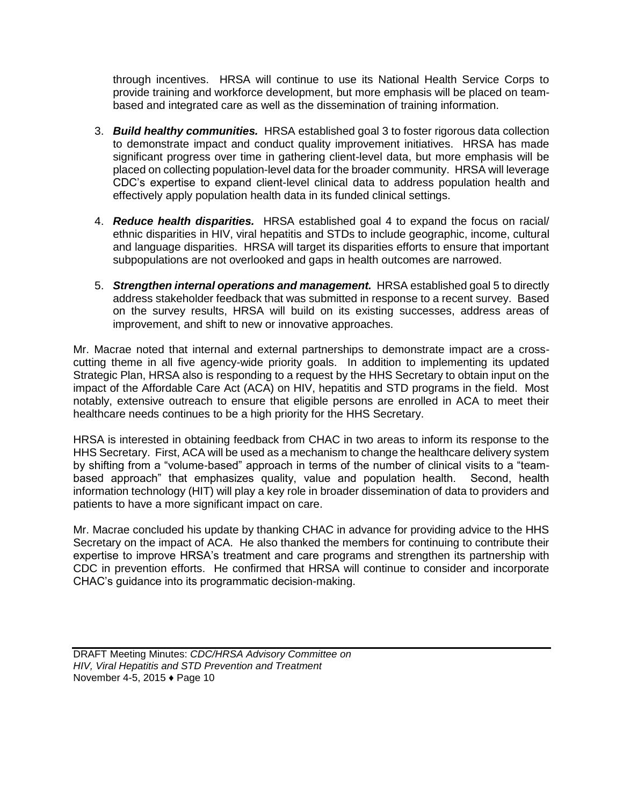through incentives. HRSA will continue to use its National Health Service Corps to provide training and workforce development, but more emphasis will be placed on teambased and integrated care as well as the dissemination of training information.

- 3. *Build healthy communities.* HRSA established goal 3 to foster rigorous data collection to demonstrate impact and conduct quality improvement initiatives. HRSA has made significant progress over time in gathering client-level data, but more emphasis will be placed on collecting population-level data for the broader community. HRSA will leverage CDC's expertise to expand client-level clinical data to address population health and effectively apply population health data in its funded clinical settings.
- 4. *Reduce health disparities.* HRSA established goal 4 to expand the focus on racial/ ethnic disparities in HIV, viral hepatitis and STDs to include geographic, income, cultural and language disparities. HRSA will target its disparities efforts to ensure that important subpopulations are not overlooked and gaps in health outcomes are narrowed.
- 5. *Strengthen internal operations and management.* HRSA established goal 5 to directly address stakeholder feedback that was submitted in response to a recent survey. Based on the survey results, HRSA will build on its existing successes, address areas of improvement, and shift to new or innovative approaches.

Mr. Macrae noted that internal and external partnerships to demonstrate impact are a crosscutting theme in all five agency-wide priority goals. In addition to implementing its updated Strategic Plan, HRSA also is responding to a request by the HHS Secretary to obtain input on the impact of the Affordable Care Act (ACA) on HIV, hepatitis and STD programs in the field. Most notably, extensive outreach to ensure that eligible persons are enrolled in ACA to meet their healthcare needs continues to be a high priority for the HHS Secretary.

HRSA is interested in obtaining feedback from CHAC in two areas to inform its response to the HHS Secretary. First, ACA will be used as a mechanism to change the healthcare delivery system by shifting from a "volume-based" approach in terms of the number of clinical visits to a "teambased approach" that emphasizes quality, value and population health. Second, health information technology (HIT) will play a key role in broader dissemination of data to providers and patients to have a more significant impact on care.

Mr. Macrae concluded his update by thanking CHAC in advance for providing advice to the HHS Secretary on the impact of ACA. He also thanked the members for continuing to contribute their expertise to improve HRSA's treatment and care programs and strengthen its partnership with CDC in prevention efforts. He confirmed that HRSA will continue to consider and incorporate CHAC's guidance into its programmatic decision-making.

DRAFT Meeting Minutes: *CDC/HRSA Advisory Committee on HIV, Viral Hepatitis and STD Prevention and Treatment* November 4-5, 2015 ♦ Page 10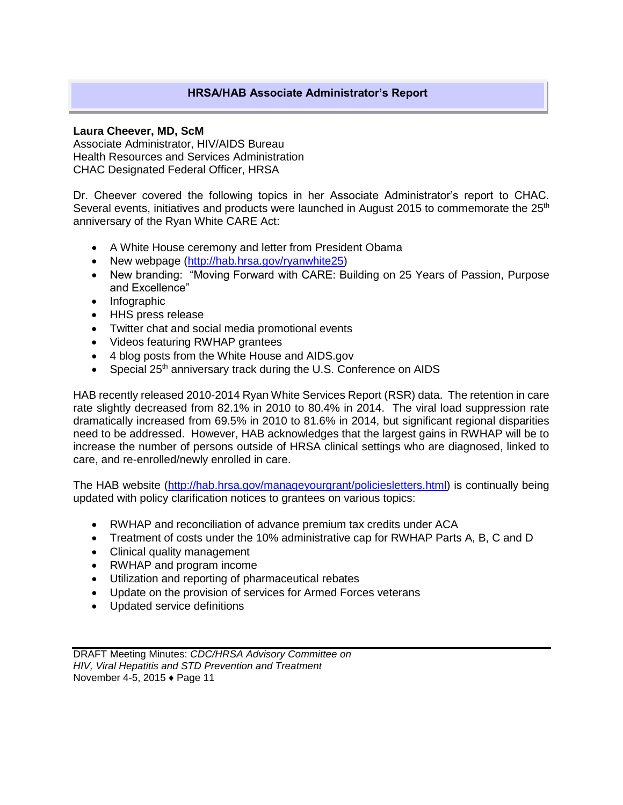## **HRSA/HAB Associate Administrator's Report**

#### **Laura Cheever, MD, ScM**

Associate Administrator, HIV/AIDS Bureau Health Resources and Services Administration CHAC Designated Federal Officer, HRSA

Dr. Cheever covered the following topics in her Associate Administrator's report to CHAC. Several events, initiatives and products were launched in August 2015 to commemorate the  $25<sup>th</sup>$ anniversary of the Ryan White CARE Act:

- A White House ceremony and letter from President Obama
- New webpage [\(http://hab.hrsa.gov/ryanwhite25\)](http://hab.hrsa.gov/ryanwhite25)
- New branding: "Moving Forward with CARE: Building on 25 Years of Passion, Purpose and Excellence"
- Infographic
- HHS press release
- Twitter chat and social media promotional events
- Videos featuring RWHAP grantees
- 4 blog posts from the White House and AIDS.gov
- Special 25<sup>th</sup> anniversary track during the U.S. Conference on AIDS

HAB recently released 2010-2014 Ryan White Services Report (RSR) data. The retention in care rate slightly decreased from 82.1% in 2010 to 80.4% in 2014. The viral load suppression rate dramatically increased from 69.5% in 2010 to 81.6% in 2014, but significant regional disparities need to be addressed. However, HAB acknowledges that the largest gains in RWHAP will be to increase the number of persons outside of HRSA clinical settings who are diagnosed, linked to care, and re-enrolled/newly enrolled in care.

The HAB website [\(http://hab.hrsa.gov/manageyourgrant/policiesletters.html\)](http://hab.hrsa.gov/manageyourgrant/policiesletters.html) is continually being updated with policy clarification notices to grantees on various topics:

- RWHAP and reconciliation of advance premium tax credits under ACA
- Treatment of costs under the 10% administrative cap for RWHAP Parts A, B, C and D
- Clinical quality management
- RWHAP and program income
- Utilization and reporting of pharmaceutical rebates
- Update on the provision of services for Armed Forces veterans
- Updated service definitions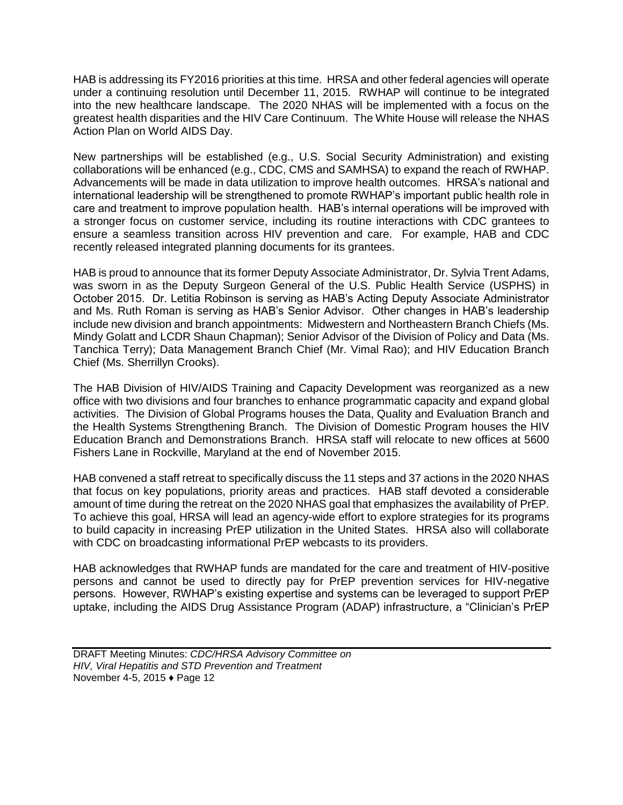HAB is addressing its FY2016 priorities at this time. HRSA and other federal agencies will operate under a continuing resolution until December 11, 2015. RWHAP will continue to be integrated into the new healthcare landscape. The 2020 NHAS will be implemented with a focus on the greatest health disparities and the HIV Care Continuum. The White House will release the NHAS Action Plan on World AIDS Day.

New partnerships will be established (e.g., U.S. Social Security Administration) and existing collaborations will be enhanced (e.g., CDC, CMS and SAMHSA) to expand the reach of RWHAP. Advancements will be made in data utilization to improve health outcomes. HRSA's national and international leadership will be strengthened to promote RWHAP's important public health role in care and treatment to improve population health. HAB's internal operations will be improved with a stronger focus on customer service, including its routine interactions with CDC grantees to ensure a seamless transition across HIV prevention and care. For example, HAB and CDC recently released integrated planning documents for its grantees.

HAB is proud to announce that its former Deputy Associate Administrator, Dr. Sylvia Trent Adams, was sworn in as the Deputy Surgeon General of the U.S. Public Health Service (USPHS) in October 2015. Dr. Letitia Robinson is serving as HAB's Acting Deputy Associate Administrator and Ms. Ruth Roman is serving as HAB's Senior Advisor. Other changes in HAB's leadership include new division and branch appointments: Midwestern and Northeastern Branch Chiefs (Ms. Mindy Golatt and LCDR Shaun Chapman); Senior Advisor of the Division of Policy and Data (Ms. Tanchica Terry); Data Management Branch Chief (Mr. Vimal Rao); and HIV Education Branch Chief (Ms. Sherrillyn Crooks).

The HAB Division of HIV/AIDS Training and Capacity Development was reorganized as a new office with two divisions and four branches to enhance programmatic capacity and expand global activities. The Division of Global Programs houses the Data, Quality and Evaluation Branch and the Health Systems Strengthening Branch. The Division of Domestic Program houses the HIV Education Branch and Demonstrations Branch. HRSA staff will relocate to new offices at 5600 Fishers Lane in Rockville, Maryland at the end of November 2015.

HAB convened a staff retreat to specifically discuss the 11 steps and 37 actions in the 2020 NHAS that focus on key populations, priority areas and practices. HAB staff devoted a considerable amount of time during the retreat on the 2020 NHAS goal that emphasizes the availability of PrEP. To achieve this goal, HRSA will lead an agency-wide effort to explore strategies for its programs to build capacity in increasing PrEP utilization in the United States. HRSA also will collaborate with CDC on broadcasting informational PrEP webcasts to its providers.

HAB acknowledges that RWHAP funds are mandated for the care and treatment of HIV-positive persons and cannot be used to directly pay for PrEP prevention services for HIV-negative persons. However, RWHAP's existing expertise and systems can be leveraged to support PrEP uptake, including the AIDS Drug Assistance Program (ADAP) infrastructure, a "Clinician's PrEP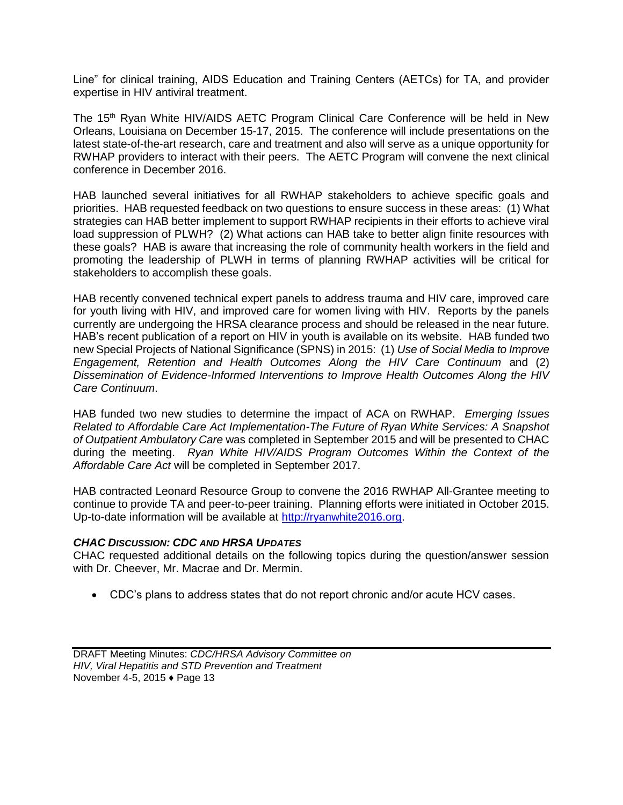Line" for clinical training, AIDS Education and Training Centers (AETCs) for TA, and provider expertise in HIV antiviral treatment.

The 15<sup>th</sup> Ryan White HIV/AIDS AETC Program Clinical Care Conference will be held in New Orleans, Louisiana on December 15-17, 2015. The conference will include presentations on the latest state-of-the-art research, care and treatment and also will serve as a unique opportunity for RWHAP providers to interact with their peers. The AETC Program will convene the next clinical conference in December 2016.

HAB launched several initiatives for all RWHAP stakeholders to achieve specific goals and priorities. HAB requested feedback on two questions to ensure success in these areas: (1) What strategies can HAB better implement to support RWHAP recipients in their efforts to achieve viral load suppression of PLWH? (2) What actions can HAB take to better align finite resources with these goals? HAB is aware that increasing the role of community health workers in the field and promoting the leadership of PLWH in terms of planning RWHAP activities will be critical for stakeholders to accomplish these goals.

HAB recently convened technical expert panels to address trauma and HIV care, improved care for youth living with HIV, and improved care for women living with HIV. Reports by the panels currently are undergoing the HRSA clearance process and should be released in the near future. HAB's recent publication of a report on HIV in youth is available on its website. HAB funded two new Special Projects of National Significance (SPNS) in 2015: (1) *Use of Social Media to Improve Engagement, Retention and Health Outcomes Along the HIV Care Continuum* and (2) *Dissemination of Evidence-Informed Interventions to Improve Health Outcomes Along the HIV Care Continuum*.

HAB funded two new studies to determine the impact of ACA on RWHAP. *Emerging Issues Related to Affordable Care Act Implementation-The Future of Ryan White Services: A Snapshot of Outpatient Ambulatory Care* was completed in September 2015 and will be presented to CHAC during the meeting. *Ryan White HIV/AIDS Program Outcomes Within the Context of the Affordable Care Act* will be completed in September 2017.

HAB contracted Leonard Resource Group to convene the 2016 RWHAP All-Grantee meeting to continue to provide TA and peer-to-peer training. Planning efforts were initiated in October 2015. Up-to-date information will be available at [http://ryanwhite2016.org.](http://ryanwhite2016.org/)

#### *CHAC DISCUSSION: CDC AND HRSA UPDATES*

CHAC requested additional details on the following topics during the question/answer session with Dr. Cheever, Mr. Macrae and Dr. Mermin.

CDC's plans to address states that do not report chronic and/or acute HCV cases.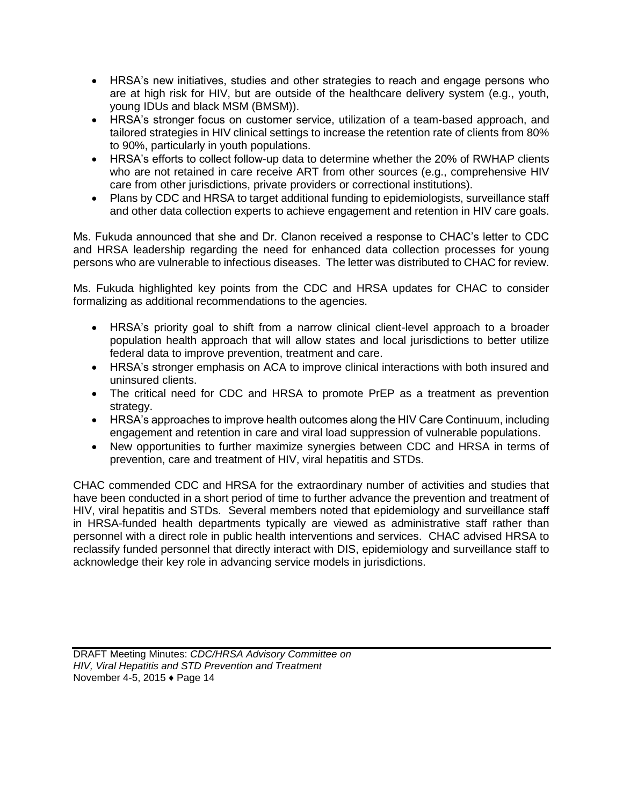- HRSA's new initiatives, studies and other strategies to reach and engage persons who are at high risk for HIV, but are outside of the healthcare delivery system (e.g., youth, young IDUs and black MSM (BMSM)).
- HRSA's stronger focus on customer service, utilization of a team-based approach, and tailored strategies in HIV clinical settings to increase the retention rate of clients from 80% to 90%, particularly in youth populations.
- HRSA's efforts to collect follow-up data to determine whether the 20% of RWHAP clients who are not retained in care receive ART from other sources (e.g., comprehensive HIV care from other jurisdictions, private providers or correctional institutions).
- Plans by CDC and HRSA to target additional funding to epidemiologists, surveillance staff and other data collection experts to achieve engagement and retention in HIV care goals.

Ms. Fukuda announced that she and Dr. Clanon received a response to CHAC's letter to CDC and HRSA leadership regarding the need for enhanced data collection processes for young persons who are vulnerable to infectious diseases. The letter was distributed to CHAC for review.

Ms. Fukuda highlighted key points from the CDC and HRSA updates for CHAC to consider formalizing as additional recommendations to the agencies.

- HRSA's priority goal to shift from a narrow clinical client-level approach to a broader population health approach that will allow states and local jurisdictions to better utilize federal data to improve prevention, treatment and care.
- HRSA's stronger emphasis on ACA to improve clinical interactions with both insured and uninsured clients.
- The critical need for CDC and HRSA to promote PrEP as a treatment as prevention strategy.
- HRSA's approaches to improve health outcomes along the HIV Care Continuum, including engagement and retention in care and viral load suppression of vulnerable populations.
- New opportunities to further maximize synergies between CDC and HRSA in terms of prevention, care and treatment of HIV, viral hepatitis and STDs.

CHAC commended CDC and HRSA for the extraordinary number of activities and studies that have been conducted in a short period of time to further advance the prevention and treatment of HIV, viral hepatitis and STDs. Several members noted that epidemiology and surveillance staff in HRSA-funded health departments typically are viewed as administrative staff rather than personnel with a direct role in public health interventions and services. CHAC advised HRSA to reclassify funded personnel that directly interact with DIS, epidemiology and surveillance staff to acknowledge their key role in advancing service models in jurisdictions.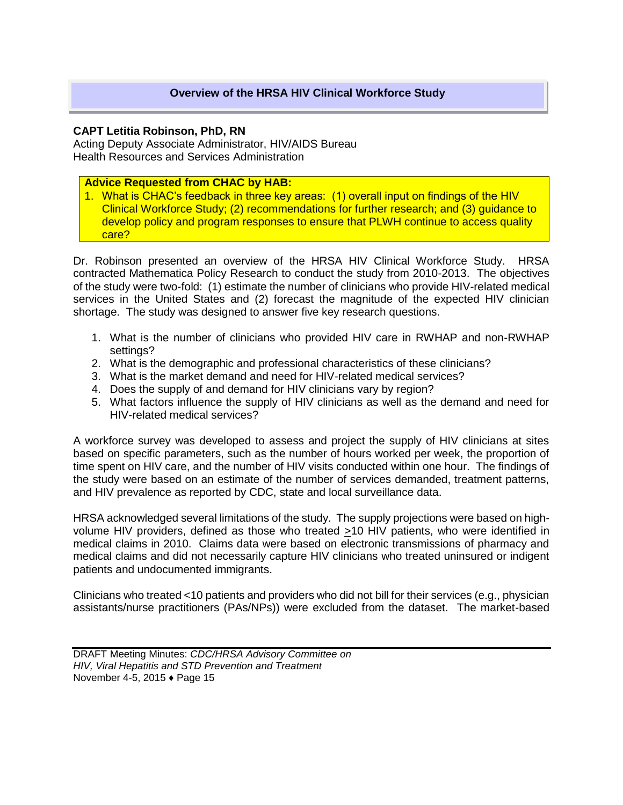#### **CAPT Letitia Robinson, PhD, RN**

Acting Deputy Associate Administrator, HIV/AIDS Bureau Health Resources and Services Administration

#### **Advice Requested from CHAC by HAB:**

1. What is CHAC's feedback in three key areas: (1) overall input on findings of the HIV Clinical Workforce Study; (2) recommendations for further research; and (3) guidance to develop policy and program responses to ensure that PLWH continue to access quality care?

Dr. Robinson presented an overview of the HRSA HIV Clinical Workforce Study. HRSA contracted Mathematica Policy Research to conduct the study from 2010-2013. The objectives of the study were two-fold: (1) estimate the number of clinicians who provide HIV-related medical services in the United States and (2) forecast the magnitude of the expected HIV clinician shortage. The study was designed to answer five key research questions.

- 1. What is the number of clinicians who provided HIV care in RWHAP and non-RWHAP settings?
- 2. What is the demographic and professional characteristics of these clinicians?
- 3. What is the market demand and need for HIV-related medical services?
- 4. Does the supply of and demand for HIV clinicians vary by region?
- 5. What factors influence the supply of HIV clinicians as well as the demand and need for HIV-related medical services?

A workforce survey was developed to assess and project the supply of HIV clinicians at sites based on specific parameters, such as the number of hours worked per week, the proportion of time spent on HIV care, and the number of HIV visits conducted within one hour. The findings of the study were based on an estimate of the number of services demanded, treatment patterns, and HIV prevalence as reported by CDC, state and local surveillance data.

HRSA acknowledged several limitations of the study. The supply projections were based on highvolume HIV providers, defined as those who treated >10 HIV patients, who were identified in medical claims in 2010. Claims data were based on electronic transmissions of pharmacy and medical claims and did not necessarily capture HIV clinicians who treated uninsured or indigent patients and undocumented immigrants.

Clinicians who treated <10 patients and providers who did not bill for their services (e.g., physician assistants/nurse practitioners (PAs/NPs)) were excluded from the dataset. The market-based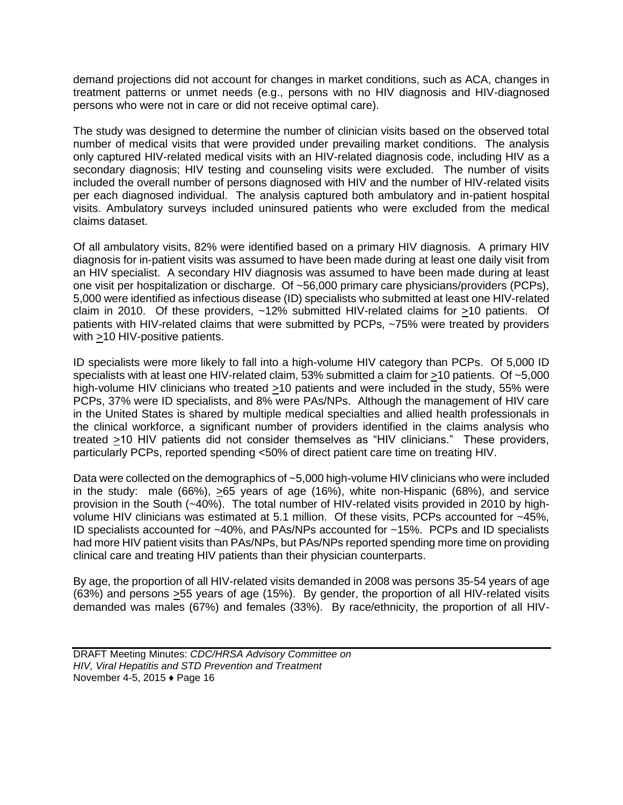demand projections did not account for changes in market conditions, such as ACA, changes in treatment patterns or unmet needs (e.g., persons with no HIV diagnosis and HIV-diagnosed persons who were not in care or did not receive optimal care).

The study was designed to determine the number of clinician visits based on the observed total number of medical visits that were provided under prevailing market conditions. The analysis only captured HIV-related medical visits with an HIV-related diagnosis code, including HIV as a secondary diagnosis; HIV testing and counseling visits were excluded. The number of visits included the overall number of persons diagnosed with HIV and the number of HIV-related visits per each diagnosed individual. The analysis captured both ambulatory and in-patient hospital visits. Ambulatory surveys included uninsured patients who were excluded from the medical claims dataset.

Of all ambulatory visits, 82% were identified based on a primary HIV diagnosis. A primary HIV diagnosis for in-patient visits was assumed to have been made during at least one daily visit from an HIV specialist. A secondary HIV diagnosis was assumed to have been made during at least one visit per hospitalization or discharge. Of ~56,000 primary care physicians/providers (PCPs), 5,000 were identified as infectious disease (ID) specialists who submitted at least one HIV-related claim in 2010. Of these providers, ~12% submitted HIV-related claims for >10 patients. Of patients with HIV-related claims that were submitted by PCPs, ~75% were treated by providers with >10 HIV-positive patients.

ID specialists were more likely to fall into a high-volume HIV category than PCPs. Of 5,000 ID specialists with at least one HIV-related claim, 53% submitted a claim for >10 patients. Of ~5,000 high-volume HIV clinicians who treated >10 patients and were included in the study, 55% were PCPs, 37% were ID specialists, and 8% were PAs/NPs. Although the management of HIV care in the United States is shared by multiple medical specialties and allied health professionals in the clinical workforce, a significant number of providers identified in the claims analysis who treated >10 HIV patients did not consider themselves as "HIV clinicians." These providers, particularly PCPs, reported spending <50% of direct patient care time on treating HIV.

Data were collected on the demographics of ~5,000 high-volume HIV clinicians who were included in the study: male (66%), >65 years of age (16%), white non-Hispanic (68%), and service provision in the South (~40%). The total number of HIV-related visits provided in 2010 by highvolume HIV clinicians was estimated at 5.1 million. Of these visits, PCPs accounted for ~45%, ID specialists accounted for ~40%, and PAs/NPs accounted for ~15%. PCPs and ID specialists had more HIV patient visits than PAs/NPs, but PAs/NPs reported spending more time on providing clinical care and treating HIV patients than their physician counterparts.

By age, the proportion of all HIV-related visits demanded in 2008 was persons 35-54 years of age (63%) and persons >55 years of age (15%). By gender, the proportion of all HIV-related visits demanded was males (67%) and females (33%). By race/ethnicity, the proportion of all HIV-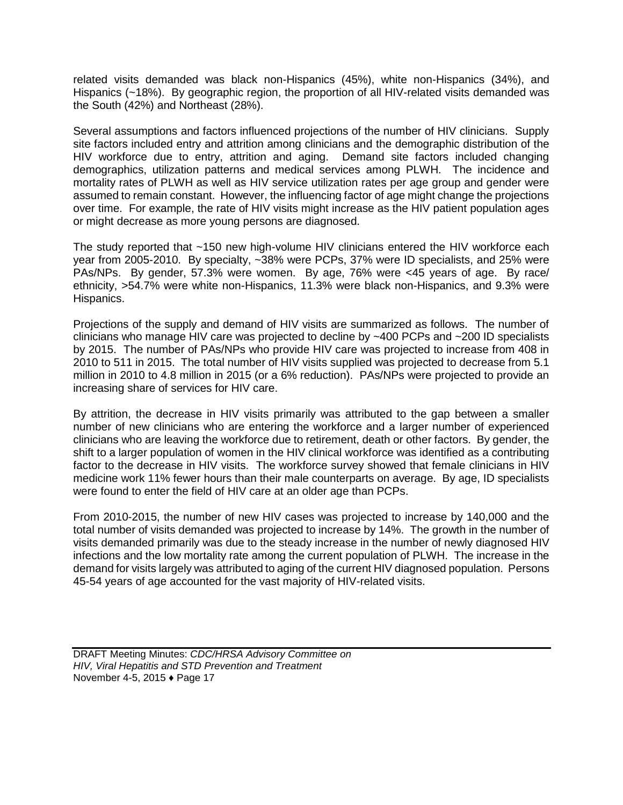related visits demanded was black non-Hispanics (45%), white non-Hispanics (34%), and Hispanics (~18%). By geographic region, the proportion of all HIV-related visits demanded was the South (42%) and Northeast (28%).

Several assumptions and factors influenced projections of the number of HIV clinicians. Supply site factors included entry and attrition among clinicians and the demographic distribution of the HIV workforce due to entry, attrition and aging. Demand site factors included changing demographics, utilization patterns and medical services among PLWH. The incidence and mortality rates of PLWH as well as HIV service utilization rates per age group and gender were assumed to remain constant. However, the influencing factor of age might change the projections over time. For example, the rate of HIV visits might increase as the HIV patient population ages or might decrease as more young persons are diagnosed.

The study reported that ~150 new high-volume HIV clinicians entered the HIV workforce each year from 2005-2010. By specialty, ~38% were PCPs, 37% were ID specialists, and 25% were PAs/NPs. By gender, 57.3% were women. By age, 76% were <45 years of age. By race/ ethnicity, >54.7% were white non-Hispanics, 11.3% were black non-Hispanics, and 9.3% were Hispanics.

Projections of the supply and demand of HIV visits are summarized as follows. The number of clinicians who manage HIV care was projected to decline by ~400 PCPs and ~200 ID specialists by 2015. The number of PAs/NPs who provide HIV care was projected to increase from 408 in 2010 to 511 in 2015. The total number of HIV visits supplied was projected to decrease from 5.1 million in 2010 to 4.8 million in 2015 (or a 6% reduction). PAs/NPs were projected to provide an increasing share of services for HIV care.

By attrition, the decrease in HIV visits primarily was attributed to the gap between a smaller number of new clinicians who are entering the workforce and a larger number of experienced clinicians who are leaving the workforce due to retirement, death or other factors. By gender, the shift to a larger population of women in the HIV clinical workforce was identified as a contributing factor to the decrease in HIV visits. The workforce survey showed that female clinicians in HIV medicine work 11% fewer hours than their male counterparts on average. By age, ID specialists were found to enter the field of HIV care at an older age than PCPs.

From 2010-2015, the number of new HIV cases was projected to increase by 140,000 and the total number of visits demanded was projected to increase by 14%. The growth in the number of visits demanded primarily was due to the steady increase in the number of newly diagnosed HIV infections and the low mortality rate among the current population of PLWH. The increase in the demand for visits largely was attributed to aging of the current HIV diagnosed population. Persons 45-54 years of age accounted for the vast majority of HIV-related visits.

DRAFT Meeting Minutes: *CDC/HRSA Advisory Committee on HIV, Viral Hepatitis and STD Prevention and Treatment* November 4-5, 2015 ♦ Page 17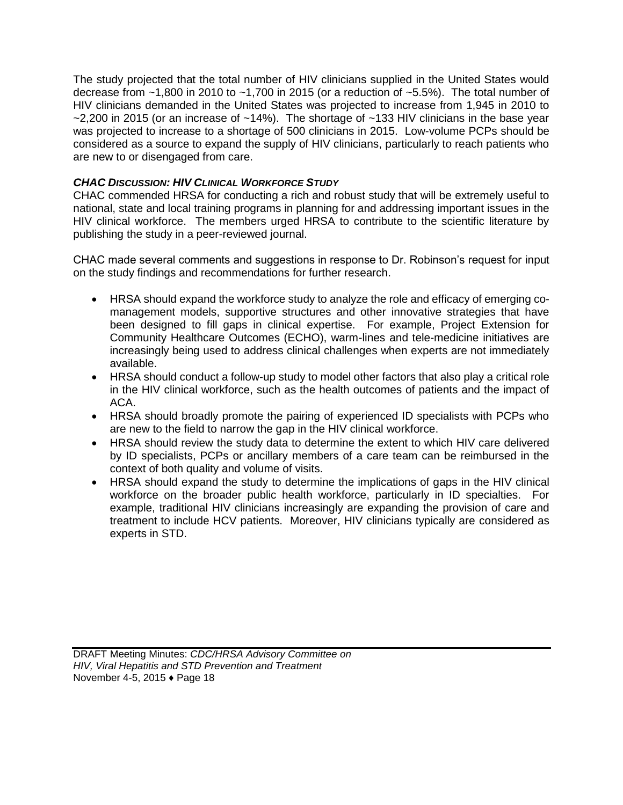The study projected that the total number of HIV clinicians supplied in the United States would decrease from ~1,800 in 2010 to ~1,700 in 2015 (or a reduction of ~5.5%). The total number of HIV clinicians demanded in the United States was projected to increase from 1,945 in 2010 to  $-2,200$  in 2015 (or an increase of  $-14\%$ ). The shortage of  $-133$  HIV clinicians in the base year was projected to increase to a shortage of 500 clinicians in 2015. Low-volume PCPs should be considered as a source to expand the supply of HIV clinicians, particularly to reach patients who are new to or disengaged from care.

## *CHAC DISCUSSION: HIV CLINICAL WORKFORCE STUDY*

CHAC commended HRSA for conducting a rich and robust study that will be extremely useful to national, state and local training programs in planning for and addressing important issues in the HIV clinical workforce. The members urged HRSA to contribute to the scientific literature by publishing the study in a peer-reviewed journal.

CHAC made several comments and suggestions in response to Dr. Robinson's request for input on the study findings and recommendations for further research.

- HRSA should expand the workforce study to analyze the role and efficacy of emerging comanagement models, supportive structures and other innovative strategies that have been designed to fill gaps in clinical expertise. For example, Project Extension for Community Healthcare Outcomes (ECHO), warm-lines and tele-medicine initiatives are increasingly being used to address clinical challenges when experts are not immediately available.
- HRSA should conduct a follow-up study to model other factors that also play a critical role in the HIV clinical workforce, such as the health outcomes of patients and the impact of ACA.
- HRSA should broadly promote the pairing of experienced ID specialists with PCPs who are new to the field to narrow the gap in the HIV clinical workforce.
- HRSA should review the study data to determine the extent to which HIV care delivered by ID specialists, PCPs or ancillary members of a care team can be reimbursed in the context of both quality and volume of visits.
- HRSA should expand the study to determine the implications of gaps in the HIV clinical workforce on the broader public health workforce, particularly in ID specialties. For example, traditional HIV clinicians increasingly are expanding the provision of care and treatment to include HCV patients. Moreover, HIV clinicians typically are considered as experts in STD.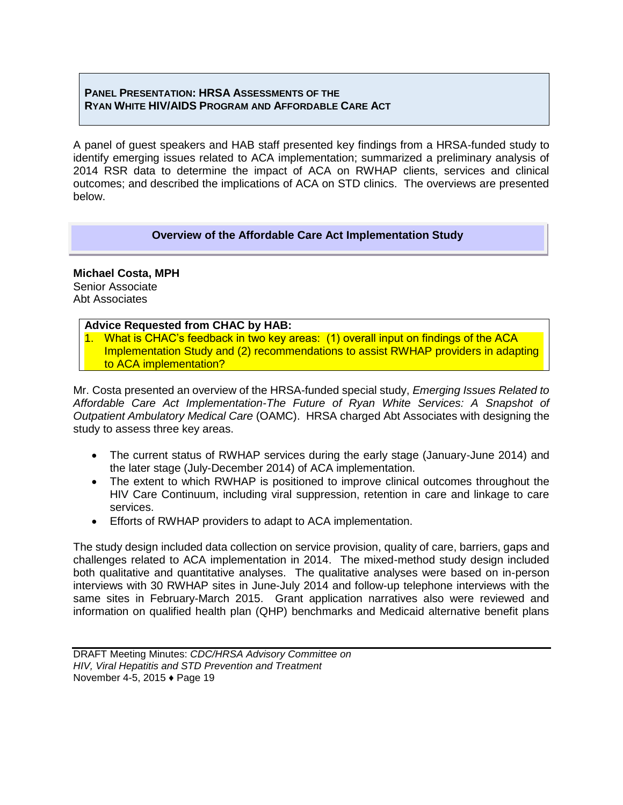## **PANEL PRESENTATION: HRSA ASSESSMENTS OF THE RYAN WHITE HIV/AIDS PROGRAM AND AFFORDABLE CARE ACT**

A panel of guest speakers and HAB staff presented key findings from a HRSA-funded study to identify emerging issues related to ACA implementation; summarized a preliminary analysis of 2014 RSR data to determine the impact of ACA on RWHAP clients, services and clinical outcomes; and described the implications of ACA on STD clinics. The overviews are presented below.

## **Overview of the Affordable Care Act Implementation Study**

#### **Michael Costa, MPH**  Senior Associate Abt Associates

## **Advice Requested from CHAC by HAB:**

1. What is CHAC's feedback in two key areas: (1) overall input on findings of the ACA Implementation Study and (2) recommendations to assist RWHAP providers in adapting to ACA implementation?

Mr. Costa presented an overview of the HRSA-funded special study, *Emerging Issues Related to Affordable Care Act Implementation-The Future of Ryan White Services: A Snapshot of Outpatient Ambulatory Medical Care* (OAMC). HRSA charged Abt Associates with designing the study to assess three key areas.

- The current status of RWHAP services during the early stage (January-June 2014) and the later stage (July-December 2014) of ACA implementation.
- The extent to which RWHAP is positioned to improve clinical outcomes throughout the HIV Care Continuum, including viral suppression, retention in care and linkage to care services.
- Efforts of RWHAP providers to adapt to ACA implementation.

The study design included data collection on service provision, quality of care, barriers, gaps and challenges related to ACA implementation in 2014. The mixed-method study design included both qualitative and quantitative analyses. The qualitative analyses were based on in-person interviews with 30 RWHAP sites in June-July 2014 and follow-up telephone interviews with the same sites in February-March 2015. Grant application narratives also were reviewed and information on qualified health plan (QHP) benchmarks and Medicaid alternative benefit plans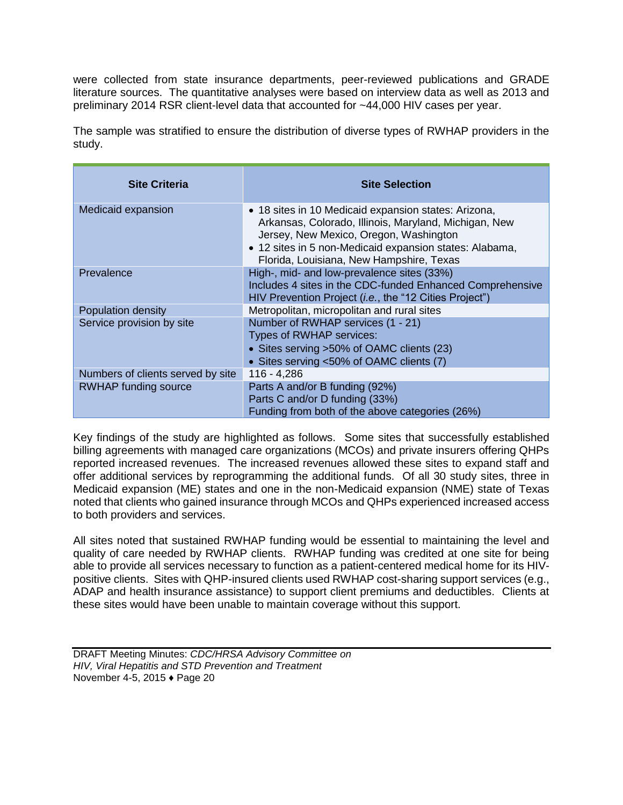were collected from state insurance departments, peer-reviewed publications and GRADE literature sources. The quantitative analyses were based on interview data as well as 2013 and preliminary 2014 RSR client-level data that accounted for ~44,000 HIV cases per year.

The sample was stratified to ensure the distribution of diverse types of RWHAP providers in the study.

| <b>Site Criteria</b>              | <b>Site Selection</b>                                                                                                                                                                                                                                          |
|-----------------------------------|----------------------------------------------------------------------------------------------------------------------------------------------------------------------------------------------------------------------------------------------------------------|
| Medicaid expansion                | • 18 sites in 10 Medicaid expansion states: Arizona,<br>Arkansas, Colorado, Illinois, Maryland, Michigan, New<br>Jersey, New Mexico, Oregon, Washington<br>• 12 sites in 5 non-Medicaid expansion states: Alabama,<br>Florida, Louisiana, New Hampshire, Texas |
| Prevalence                        | High-, mid- and low-prevalence sites (33%)<br>Includes 4 sites in the CDC-funded Enhanced Comprehensive<br>HIV Prevention Project (i.e., the "12 Cities Project")                                                                                              |
| Population density                | Metropolitan, micropolitan and rural sites                                                                                                                                                                                                                     |
| Service provision by site         | Number of RWHAP services (1 - 21)<br>Types of RWHAP services:<br>• Sites serving >50% of OAMC clients (23)<br>• Sites serving <50% of OAMC clients (7)                                                                                                         |
| Numbers of clients served by site | 116 - 4,286                                                                                                                                                                                                                                                    |
| <b>RWHAP</b> funding source       | Parts A and/or B funding (92%)<br>Parts C and/or D funding (33%)<br>Funding from both of the above categories (26%)                                                                                                                                            |

Key findings of the study are highlighted as follows. Some sites that successfully established billing agreements with managed care organizations (MCOs) and private insurers offering QHPs reported increased revenues. The increased revenues allowed these sites to expand staff and offer additional services by reprogramming the additional funds. Of all 30 study sites, three in Medicaid expansion (ME) states and one in the non-Medicaid expansion (NME) state of Texas noted that clients who gained insurance through MCOs and QHPs experienced increased access to both providers and services.

All sites noted that sustained RWHAP funding would be essential to maintaining the level and quality of care needed by RWHAP clients. RWHAP funding was credited at one site for being able to provide all services necessary to function as a patient-centered medical home for its HIVpositive clients. Sites with QHP-insured clients used RWHAP cost-sharing support services (e.g., ADAP and health insurance assistance) to support client premiums and deductibles. Clients at these sites would have been unable to maintain coverage without this support.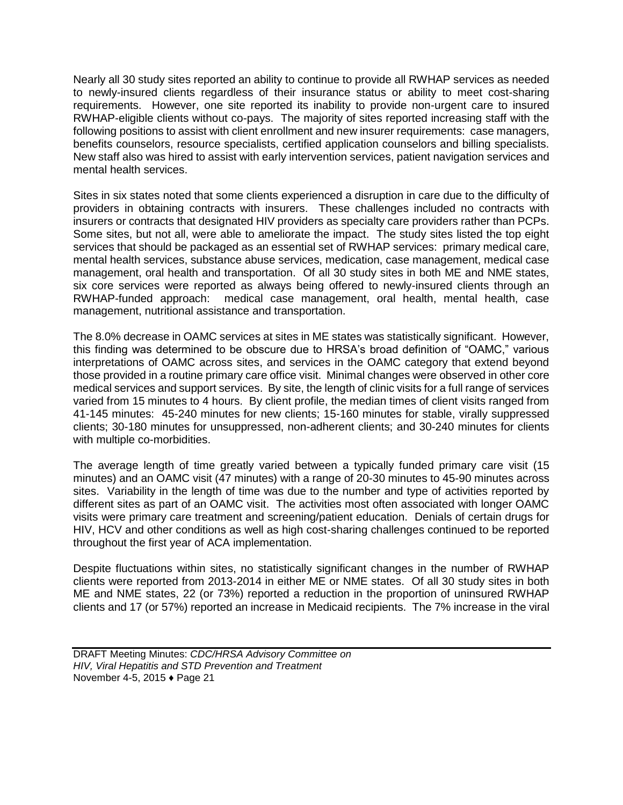Nearly all 30 study sites reported an ability to continue to provide all RWHAP services as needed to newly-insured clients regardless of their insurance status or ability to meet cost-sharing requirements. However, one site reported its inability to provide non-urgent care to insured RWHAP-eligible clients without co-pays. The majority of sites reported increasing staff with the following positions to assist with client enrollment and new insurer requirements: case managers, benefits counselors, resource specialists, certified application counselors and billing specialists. New staff also was hired to assist with early intervention services, patient navigation services and mental health services.

Sites in six states noted that some clients experienced a disruption in care due to the difficulty of providers in obtaining contracts with insurers. These challenges included no contracts with insurers or contracts that designated HIV providers as specialty care providers rather than PCPs. Some sites, but not all, were able to ameliorate the impact. The study sites listed the top eight services that should be packaged as an essential set of RWHAP services: primary medical care, mental health services, substance abuse services, medication, case management, medical case management, oral health and transportation. Of all 30 study sites in both ME and NME states, six core services were reported as always being offered to newly-insured clients through an RWHAP-funded approach: medical case management, oral health, mental health, case management, nutritional assistance and transportation.

The 8.0% decrease in OAMC services at sites in ME states was statistically significant. However, this finding was determined to be obscure due to HRSA's broad definition of "OAMC," various interpretations of OAMC across sites, and services in the OAMC category that extend beyond those provided in a routine primary care office visit. Minimal changes were observed in other core medical services and support services. By site, the length of clinic visits for a full range of services varied from 15 minutes to 4 hours. By client profile, the median times of client visits ranged from 41-145 minutes: 45-240 minutes for new clients; 15-160 minutes for stable, virally suppressed clients; 30-180 minutes for unsuppressed, non-adherent clients; and 30-240 minutes for clients with multiple co-morbidities.

The average length of time greatly varied between a typically funded primary care visit (15 minutes) and an OAMC visit (47 minutes) with a range of 20-30 minutes to 45-90 minutes across sites. Variability in the length of time was due to the number and type of activities reported by different sites as part of an OAMC visit. The activities most often associated with longer OAMC visits were primary care treatment and screening/patient education. Denials of certain drugs for HIV, HCV and other conditions as well as high cost-sharing challenges continued to be reported throughout the first year of ACA implementation.

Despite fluctuations within sites, no statistically significant changes in the number of RWHAP clients were reported from 2013-2014 in either ME or NME states. Of all 30 study sites in both ME and NME states, 22 (or 73%) reported a reduction in the proportion of uninsured RWHAP clients and 17 (or 57%) reported an increase in Medicaid recipients. The 7% increase in the viral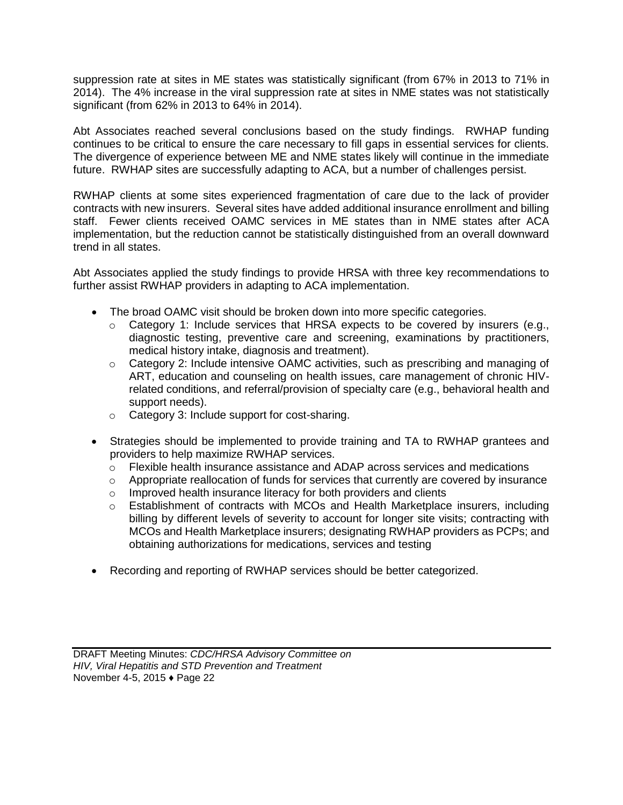suppression rate at sites in ME states was statistically significant (from 67% in 2013 to 71% in 2014). The 4% increase in the viral suppression rate at sites in NME states was not statistically significant (from 62% in 2013 to 64% in 2014).

Abt Associates reached several conclusions based on the study findings. RWHAP funding continues to be critical to ensure the care necessary to fill gaps in essential services for clients. The divergence of experience between ME and NME states likely will continue in the immediate future. RWHAP sites are successfully adapting to ACA, but a number of challenges persist.

RWHAP clients at some sites experienced fragmentation of care due to the lack of provider contracts with new insurers. Several sites have added additional insurance enrollment and billing staff. Fewer clients received OAMC services in ME states than in NME states after ACA implementation, but the reduction cannot be statistically distinguished from an overall downward trend in all states.

Abt Associates applied the study findings to provide HRSA with three key recommendations to further assist RWHAP providers in adapting to ACA implementation.

- $\bullet$ The broad OAMC visit should be broken down into more specific categories.
	- o Category 1: Include services that HRSA expects to be covered by insurers (e.g., diagnostic testing, preventive care and screening, examinations by practitioners, medical history intake, diagnosis and treatment).
	- o Category 2: Include intensive OAMC activities, such as prescribing and managing of ART, education and counseling on health issues, care management of chronic HIVrelated conditions, and referral/provision of specialty care (e.g., behavioral health and support needs).
	- o Category 3: Include support for cost-sharing.
- Strategies should be implemented to provide training and TA to RWHAP grantees and providers to help maximize RWHAP services.
	- o Flexible health insurance assistance and ADAP across services and medications
	- $\circ$  Appropriate reallocation of funds for services that currently are covered by insurance
	- o Improved health insurance literacy for both providers and clients
	- o Establishment of contracts with MCOs and Health Marketplace insurers, including billing by different levels of severity to account for longer site visits; contracting with MCOs and Health Marketplace insurers; designating RWHAP providers as PCPs; and obtaining authorizations for medications, services and testing
- Recording and reporting of RWHAP services should be better categorized.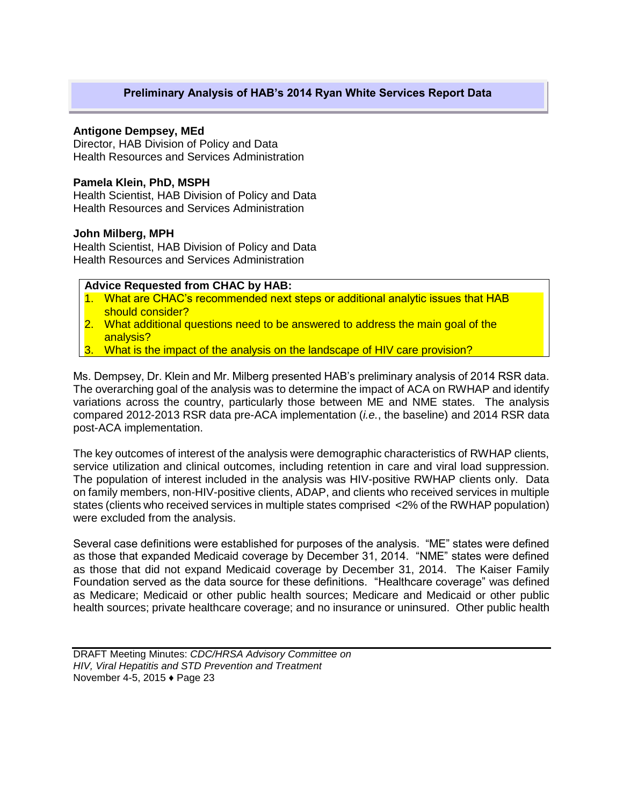## **Preliminary Analysis of HAB's 2014 Ryan White Services Report Data**

#### **Antigone Dempsey, MEd**

Director, HAB Division of Policy and Data Health Resources and Services Administration

#### **Pamela Klein, PhD, MSPH**

Health Scientist, HAB Division of Policy and Data Health Resources and Services Administration

#### **John Milberg, MPH**

Health Scientist, HAB Division of Policy and Data Health Resources and Services Administration

**Advice Requested from CHAC by HAB:**

- 1. What are CHAC's recommended next steps or additional analytic issues that HAB should consider?
- 2. What additional questions need to be answered to address the main goal of the analysis?
- What is the impact of the analysis on the landscape of HIV care provision?

Ms. Dempsey, Dr. Klein and Mr. Milberg presented HAB's preliminary analysis of 2014 RSR data. The overarching goal of the analysis was to determine the impact of ACA on RWHAP and identify variations across the country, particularly those between ME and NME states. The analysis compared 2012-2013 RSR data pre-ACA implementation (*i.e.*, the baseline) and 2014 RSR data post-ACA implementation.

The key outcomes of interest of the analysis were demographic characteristics of RWHAP clients, service utilization and clinical outcomes, including retention in care and viral load suppression. The population of interest included in the analysis was HIV-positive RWHAP clients only. Data on family members, non-HIV-positive clients, ADAP, and clients who received services in multiple states (clients who received services in multiple states comprised <2% of the RWHAP population) were excluded from the analysis.

Several case definitions were established for purposes of the analysis. "ME" states were defined as those that expanded Medicaid coverage by December 31, 2014. "NME" states were defined as those that did not expand Medicaid coverage by December 31, 2014. The Kaiser Family Foundation served as the data source for these definitions. "Healthcare coverage" was defined as Medicare; Medicaid or other public health sources; Medicare and Medicaid or other public health sources; private healthcare coverage; and no insurance or uninsured. Other public health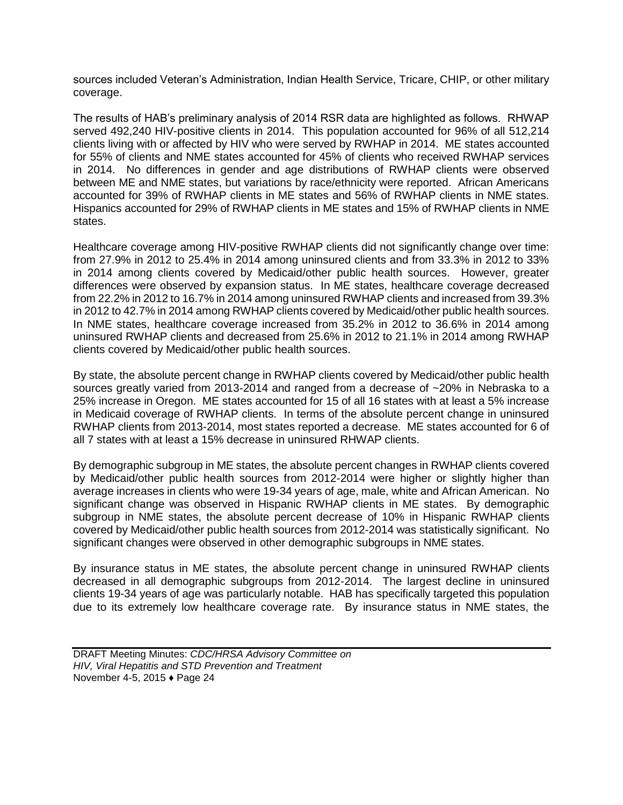sources included Veteran's Administration, Indian Health Service, Tricare, CHIP, or other military coverage.

The results of HAB's preliminary analysis of 2014 RSR data are highlighted as follows. RHWAP served 492,240 HIV-positive clients in 2014. This population accounted for 96% of all 512,214 clients living with or affected by HIV who were served by RWHAP in 2014. ME states accounted for 55% of clients and NME states accounted for 45% of clients who received RWHAP services in 2014. No differences in gender and age distributions of RWHAP clients were observed between ME and NME states, but variations by race/ethnicity were reported. African Americans accounted for 39% of RWHAP clients in ME states and 56% of RWHAP clients in NME states. Hispanics accounted for 29% of RWHAP clients in ME states and 15% of RWHAP clients in NME states.

Healthcare coverage among HIV-positive RWHAP clients did not significantly change over time: from 27.9% in 2012 to 25.4% in 2014 among uninsured clients and from 33.3% in 2012 to 33% in 2014 among clients covered by Medicaid/other public health sources. However, greater differences were observed by expansion status. In ME states, healthcare coverage decreased from 22.2% in 2012 to 16.7% in 2014 among uninsured RWHAP clients and increased from 39.3% in 2012 to 42.7% in 2014 among RWHAP clients covered by Medicaid/other public health sources. In NME states, healthcare coverage increased from 35.2% in 2012 to 36.6% in 2014 among uninsured RWHAP clients and decreased from 25.6% in 2012 to 21.1% in 2014 among RWHAP clients covered by Medicaid/other public health sources.

By state, the absolute percent change in RWHAP clients covered by Medicaid/other public health sources greatly varied from 2013-2014 and ranged from a decrease of ~20% in Nebraska to a 25% increase in Oregon. ME states accounted for 15 of all 16 states with at least a 5% increase in Medicaid coverage of RWHAP clients. In terms of the absolute percent change in uninsured RWHAP clients from 2013-2014, most states reported a decrease. ME states accounted for 6 of all 7 states with at least a 15% decrease in uninsured RHWAP clients.

By demographic subgroup in ME states, the absolute percent changes in RWHAP clients covered by Medicaid/other public health sources from 2012-2014 were higher or slightly higher than average increases in clients who were 19-34 years of age, male, white and African American. No significant change was observed in Hispanic RWHAP clients in ME states. By demographic subgroup in NME states, the absolute percent decrease of 10% in Hispanic RWHAP clients covered by Medicaid/other public health sources from 2012-2014 was statistically significant. No significant changes were observed in other demographic subgroups in NME states.

By insurance status in ME states, the absolute percent change in uninsured RWHAP clients decreased in all demographic subgroups from 2012-2014. The largest decline in uninsured clients 19-34 years of age was particularly notable. HAB has specifically targeted this population due to its extremely low healthcare coverage rate. By insurance status in NME states, the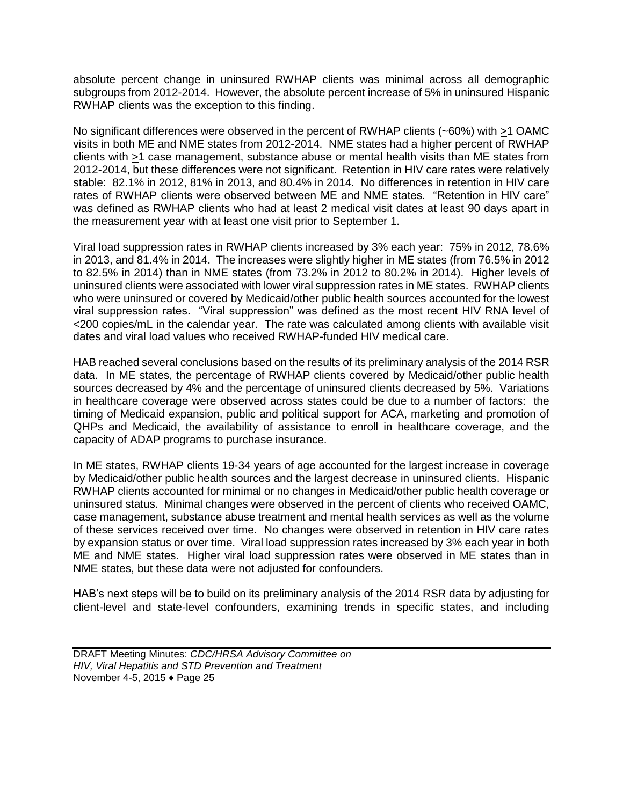absolute percent change in uninsured RWHAP clients was minimal across all demographic subgroups from 2012-2014. However, the absolute percent increase of 5% in uninsured Hispanic RWHAP clients was the exception to this finding.

No significant differences were observed in the percent of RWHAP clients (~60%) with >1 OAMC visits in both ME and NME states from 2012-2014. NME states had a higher percent of RWHAP clients with >1 case management, substance abuse or mental health visits than ME states from 2012-2014, but these differences were not significant. Retention in HIV care rates were relatively stable: 82.1% in 2012, 81% in 2013, and 80.4% in 2014. No differences in retention in HIV care rates of RWHAP clients were observed between ME and NME states. "Retention in HIV care" was defined as RWHAP clients who had at least 2 medical visit dates at least 90 days apart in the measurement year with at least one visit prior to September 1.

Viral load suppression rates in RWHAP clients increased by 3% each year: 75% in 2012, 78.6% in 2013, and 81.4% in 2014. The increases were slightly higher in ME states (from 76.5% in 2012 to 82.5% in 2014) than in NME states (from 73.2% in 2012 to 80.2% in 2014). Higher levels of uninsured clients were associated with lower viral suppression rates in ME states. RWHAP clients who were uninsured or covered by Medicaid/other public health sources accounted for the lowest viral suppression rates. "Viral suppression" was defined as the most recent HIV RNA level of <200 copies/mL in the calendar year. The rate was calculated among clients with available visit dates and viral load values who received RWHAP-funded HIV medical care.

HAB reached several conclusions based on the results of its preliminary analysis of the 2014 RSR data. In ME states, the percentage of RWHAP clients covered by Medicaid/other public health sources decreased by 4% and the percentage of uninsured clients decreased by 5%. Variations in healthcare coverage were observed across states could be due to a number of factors: the timing of Medicaid expansion, public and political support for ACA, marketing and promotion of QHPs and Medicaid, the availability of assistance to enroll in healthcare coverage, and the capacity of ADAP programs to purchase insurance.

In ME states, RWHAP clients 19-34 years of age accounted for the largest increase in coverage by Medicaid/other public health sources and the largest decrease in uninsured clients. Hispanic RWHAP clients accounted for minimal or no changes in Medicaid/other public health coverage or uninsured status. Minimal changes were observed in the percent of clients who received OAMC, case management, substance abuse treatment and mental health services as well as the volume of these services received over time. No changes were observed in retention in HIV care rates by expansion status or over time. Viral load suppression rates increased by 3% each year in both ME and NME states. Higher viral load suppression rates were observed in ME states than in NME states, but these data were not adjusted for confounders.

HAB's next steps will be to build on its preliminary analysis of the 2014 RSR data by adjusting for client-level and state-level confounders, examining trends in specific states, and including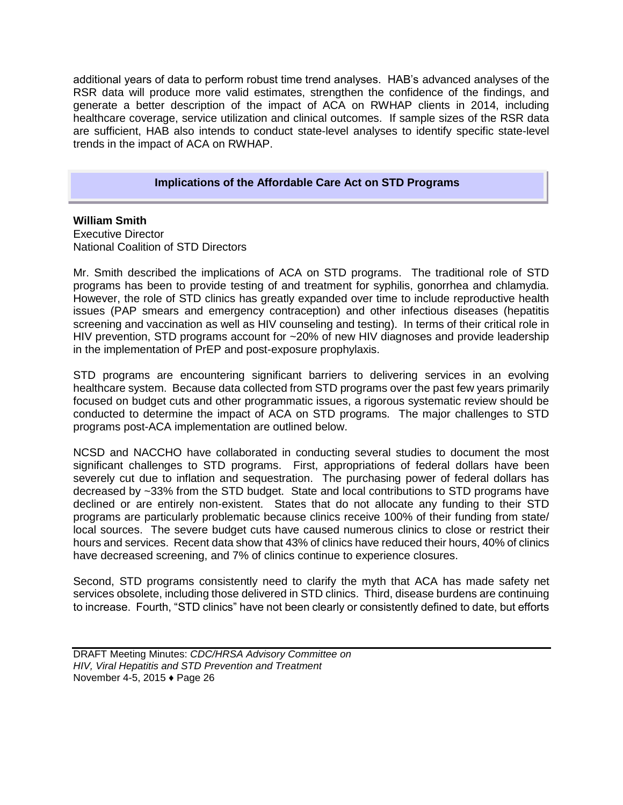additional years of data to perform robust time trend analyses. HAB's advanced analyses of the RSR data will produce more valid estimates, strengthen the confidence of the findings, and generate a better description of the impact of ACA on RWHAP clients in 2014, including healthcare coverage, service utilization and clinical outcomes. If sample sizes of the RSR data are sufficient, HAB also intends to conduct state-level analyses to identify specific state-level trends in the impact of ACA on RWHAP.

#### **Implications of the Affordable Care Act on STD Programs**

**William Smith** 

Executive Director National Coalition of STD Directors

Mr. Smith described the implications of ACA on STD programs. The traditional role of STD programs has been to provide testing of and treatment for syphilis, gonorrhea and chlamydia. However, the role of STD clinics has greatly expanded over time to include reproductive health issues (PAP smears and emergency contraception) and other infectious diseases (hepatitis screening and vaccination as well as HIV counseling and testing). In terms of their critical role in HIV prevention, STD programs account for ~20% of new HIV diagnoses and provide leadership in the implementation of PrEP and post-exposure prophylaxis.

STD programs are encountering significant barriers to delivering services in an evolving healthcare system. Because data collected from STD programs over the past few years primarily focused on budget cuts and other programmatic issues, a rigorous systematic review should be conducted to determine the impact of ACA on STD programs. The major challenges to STD programs post-ACA implementation are outlined below.

NCSD and NACCHO have collaborated in conducting several studies to document the most significant challenges to STD programs. First, appropriations of federal dollars have been severely cut due to inflation and sequestration. The purchasing power of federal dollars has decreased by ~33% from the STD budget. State and local contributions to STD programs have declined or are entirely non-existent. States that do not allocate any funding to their STD programs are particularly problematic because clinics receive 100% of their funding from state/ local sources. The severe budget cuts have caused numerous clinics to close or restrict their hours and services. Recent data show that 43% of clinics have reduced their hours, 40% of clinics have decreased screening, and 7% of clinics continue to experience closures.

Second, STD programs consistently need to clarify the myth that ACA has made safety net services obsolete, including those delivered in STD clinics. Third, disease burdens are continuing to increase. Fourth, "STD clinics" have not been clearly or consistently defined to date, but efforts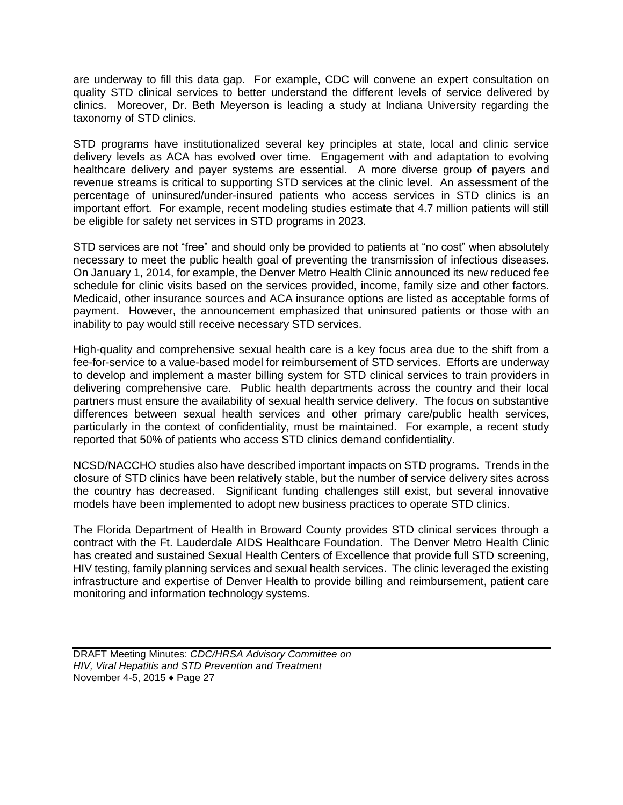are underway to fill this data gap. For example, CDC will convene an expert consultation on quality STD clinical services to better understand the different levels of service delivered by clinics. Moreover, Dr. Beth Meyerson is leading a study at Indiana University regarding the taxonomy of STD clinics.

STD programs have institutionalized several key principles at state, local and clinic service delivery levels as ACA has evolved over time. Engagement with and adaptation to evolving healthcare delivery and payer systems are essential. A more diverse group of payers and revenue streams is critical to supporting STD services at the clinic level. An assessment of the percentage of uninsured/under-insured patients who access services in STD clinics is an important effort. For example, recent modeling studies estimate that 4.7 million patients will still be eligible for safety net services in STD programs in 2023.

STD services are not "free" and should only be provided to patients at "no cost" when absolutely necessary to meet the public health goal of preventing the transmission of infectious diseases. On January 1, 2014, for example, the Denver Metro Health Clinic announced its new reduced fee schedule for clinic visits based on the services provided, income, family size and other factors. Medicaid, other insurance sources and ACA insurance options are listed as acceptable forms of payment. However, the announcement emphasized that uninsured patients or those with an inability to pay would still receive necessary STD services.

High-quality and comprehensive sexual health care is a key focus area due to the shift from a fee-for-service to a value-based model for reimbursement of STD services. Efforts are underway to develop and implement a master billing system for STD clinical services to train providers in delivering comprehensive care. Public health departments across the country and their local partners must ensure the availability of sexual health service delivery. The focus on substantive differences between sexual health services and other primary care/public health services, particularly in the context of confidentiality, must be maintained. For example, a recent study reported that 50% of patients who access STD clinics demand confidentiality.

NCSD/NACCHO studies also have described important impacts on STD programs. Trends in the closure of STD clinics have been relatively stable, but the number of service delivery sites across the country has decreased. Significant funding challenges still exist, but several innovative models have been implemented to adopt new business practices to operate STD clinics.

The Florida Department of Health in Broward County provides STD clinical services through a contract with the Ft. Lauderdale AIDS Healthcare Foundation. The Denver Metro Health Clinic has created and sustained Sexual Health Centers of Excellence that provide full STD screening, HIV testing, family planning services and sexual health services. The clinic leveraged the existing infrastructure and expertise of Denver Health to provide billing and reimbursement, patient care monitoring and information technology systems.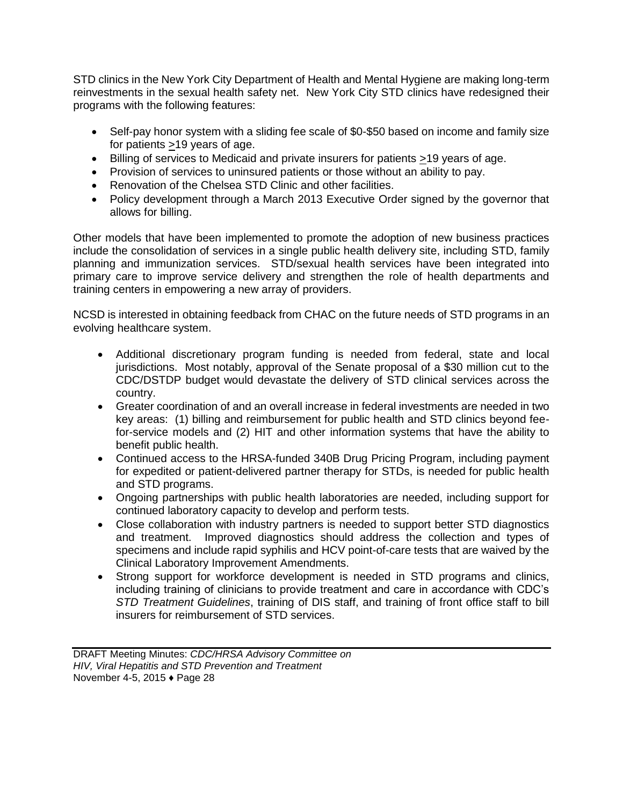STD clinics in the New York City Department of Health and Mental Hygiene are making long-term reinvestments in the sexual health safety net. New York City STD clinics have redesigned their programs with the following features:

- Self-pay honor system with a sliding fee scale of \$0-\$50 based on income and family size for patients >19 years of age.
- Billing of services to Medicaid and private insurers for patients >19 years of age.
- Provision of services to uninsured patients or those without an ability to pay.
- Renovation of the Chelsea STD Clinic and other facilities.
- Policy development through a March 2013 Executive Order signed by the governor that allows for billing.

Other models that have been implemented to promote the adoption of new business practices include the consolidation of services in a single public health delivery site, including STD, family planning and immunization services. STD/sexual health services have been integrated into primary care to improve service delivery and strengthen the role of health departments and training centers in empowering a new array of providers.

NCSD is interested in obtaining feedback from CHAC on the future needs of STD programs in an evolving healthcare system.

- Additional discretionary program funding is needed from federal, state and local jurisdictions. Most notably, approval of the Senate proposal of a \$30 million cut to the CDC/DSTDP budget would devastate the delivery of STD clinical services across the country.
- Greater coordination of and an overall increase in federal investments are needed in two key areas: (1) billing and reimbursement for public health and STD clinics beyond feefor-service models and (2) HIT and other information systems that have the ability to benefit public health.
- Continued access to the HRSA-funded 340B Drug Pricing Program, including payment for expedited or patient-delivered partner therapy for STDs, is needed for public health and STD programs.
- Ongoing partnerships with public health laboratories are needed, including support for continued laboratory capacity to develop and perform tests.
- Close collaboration with industry partners is needed to support better STD diagnostics and treatment. Improved diagnostics should address the collection and types of specimens and include rapid syphilis and HCV point-of-care tests that are waived by the Clinical Laboratory Improvement Amendments.
- Strong support for workforce development is needed in STD programs and clinics, including training of clinicians to provide treatment and care in accordance with CDC's *STD Treatment Guidelines*, training of DIS staff, and training of front office staff to bill insurers for reimbursement of STD services.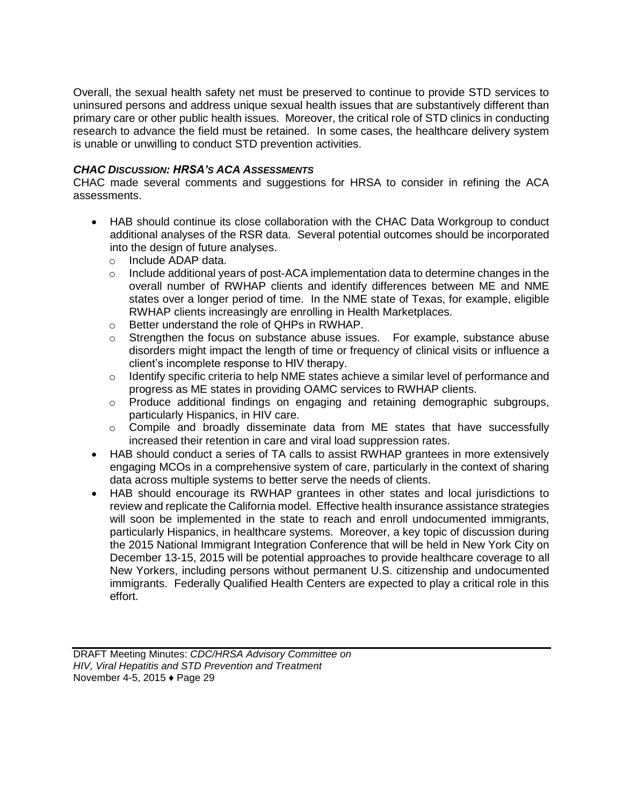Overall, the sexual health safety net must be preserved to continue to provide STD services to uninsured persons and address unique sexual health issues that are substantively different than primary care or other public health issues. Moreover, the critical role of STD clinics in conducting research to advance the field must be retained. In some cases, the healthcare delivery system is unable or unwilling to conduct STD prevention activities.

#### *CHAC DISCUSSION: HRSA'S ACA ASSESSMENTS*

CHAC made several comments and suggestions for HRSA to consider in refining the ACA assessments.

- HAB should continue its close collaboration with the CHAC Data Workgroup to conduct additional analyses of the RSR data. Several potential outcomes should be incorporated into the design of future analyses.
	- o Include ADAP data.
	- $\circ$  Include additional years of post-ACA implementation data to determine changes in the overall number of RWHAP clients and identify differences between ME and NME states over a longer period of time. In the NME state of Texas, for example, eligible RWHAP clients increasingly are enrolling in Health Marketplaces.
	- o Better understand the role of QHPs in RWHAP.
	- $\circ$  Strengthen the focus on substance abuse issues. For example, substance abuse disorders might impact the length of time or frequency of clinical visits or influence a client's incomplete response to HIV therapy.
	- $\circ$  Identify specific criteria to help NME states achieve a similar level of performance and progress as ME states in providing OAMC services to RWHAP clients.
	- o Produce additional findings on engaging and retaining demographic subgroups, particularly Hispanics, in HIV care.
	- $\circ$  Compile and broadly disseminate data from ME states that have successfully increased their retention in care and viral load suppression rates.
- HAB should conduct a series of TA calls to assist RWHAP grantees in more extensively engaging MCOs in a comprehensive system of care, particularly in the context of sharing data across multiple systems to better serve the needs of clients.
- HAB should encourage its RWHAP grantees in other states and local jurisdictions to review and replicate the California model. Effective health insurance assistance strategies will soon be implemented in the state to reach and enroll undocumented immigrants, particularly Hispanics, in healthcare systems. Moreover, a key topic of discussion during the 2015 National Immigrant Integration Conference that will be held in New York City on December 13-15, 2015 will be potential approaches to provide healthcare coverage to all New Yorkers, including persons without permanent U.S. citizenship and undocumented immigrants. Federally Qualified Health Centers are expected to play a critical role in this effort.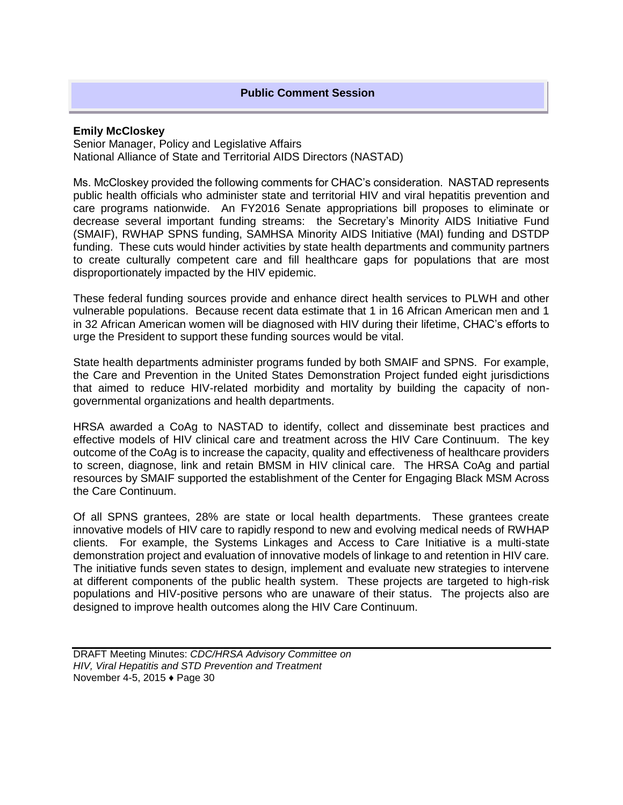#### **Public Comment Session**

#### **Emily McCloskey**

Senior Manager, Policy and Legislative Affairs National Alliance of State and Territorial AIDS Directors (NASTAD)

Ms. McCloskey provided the following comments for CHAC's consideration. NASTAD represents public health officials who administer state and territorial HIV and viral hepatitis prevention and care programs nationwide. An FY2016 Senate appropriations bill proposes to eliminate or decrease several important funding streams: the Secretary's Minority AIDS Initiative Fund (SMAIF), RWHAP SPNS funding, SAMHSA Minority AIDS Initiative (MAI) funding and DSTDP funding. These cuts would hinder activities by state health departments and community partners to create culturally competent care and fill healthcare gaps for populations that are most disproportionately impacted by the HIV epidemic.

These federal funding sources provide and enhance direct health services to PLWH and other vulnerable populations. Because recent data estimate that 1 in 16 African American men and 1 in 32 African American women will be diagnosed with HIV during their lifetime, CHAC's efforts to urge the President to support these funding sources would be vital.

State health departments administer programs funded by both SMAIF and SPNS. For example, the Care and Prevention in the United States Demonstration Project funded eight jurisdictions that aimed to reduce HIV-related morbidity and mortality by building the capacity of nongovernmental organizations and health departments.

HRSA awarded a CoAg to NASTAD to identify, collect and disseminate best practices and effective models of HIV clinical care and treatment across the HIV Care Continuum. The key outcome of the CoAg is to increase the capacity, quality and effectiveness of healthcare providers to screen, diagnose, link and retain BMSM in HIV clinical care. The HRSA CoAg and partial resources by SMAIF supported the establishment of the Center for Engaging Black MSM Across the Care Continuum.

Of all SPNS grantees, 28% are state or local health departments. These grantees create innovative models of HIV care to rapidly respond to new and evolving medical needs of RWHAP clients. For example, the Systems Linkages and Access to Care Initiative is a multi-state demonstration project and evaluation of innovative models of linkage to and retention in HIV care. The initiative funds seven states to design, implement and evaluate new strategies to intervene at different components of the public health system. These projects are targeted to high-risk populations and HIV-positive persons who are unaware of their status. The projects also are designed to improve health outcomes along the HIV Care Continuum.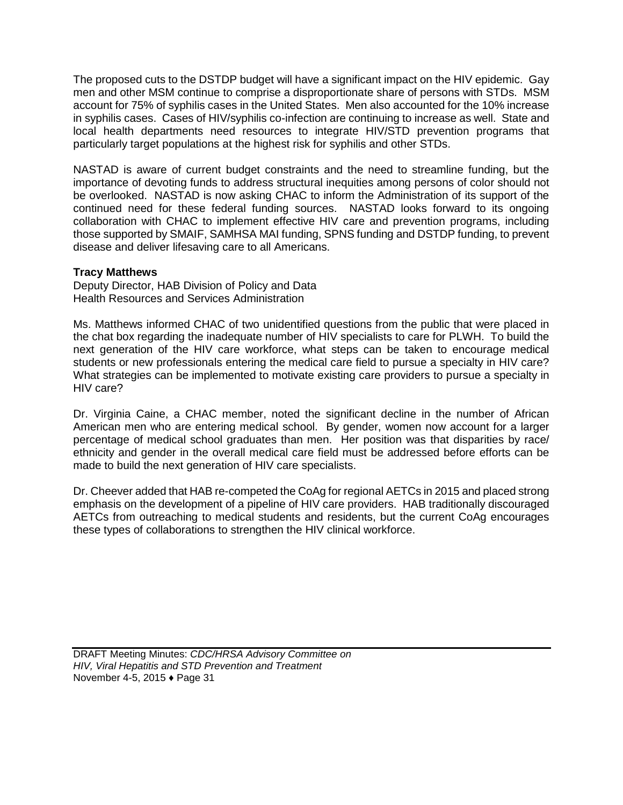The proposed cuts to the DSTDP budget will have a significant impact on the HIV epidemic. Gay men and other MSM continue to comprise a disproportionate share of persons with STDs. MSM account for 75% of syphilis cases in the United States. Men also accounted for the 10% increase in syphilis cases. Cases of HIV/syphilis co-infection are continuing to increase as well. State and local health departments need resources to integrate HIV/STD prevention programs that particularly target populations at the highest risk for syphilis and other STDs.

NASTAD is aware of current budget constraints and the need to streamline funding, but the importance of devoting funds to address structural inequities among persons of color should not be overlooked. NASTAD is now asking CHAC to inform the Administration of its support of the continued need for these federal funding sources. NASTAD looks forward to its ongoing collaboration with CHAC to implement effective HIV care and prevention programs, including those supported by SMAIF, SAMHSA MAI funding, SPNS funding and DSTDP funding, to prevent disease and deliver lifesaving care to all Americans.

## **Tracy Matthews**

Deputy Director, HAB Division of Policy and Data Health Resources and Services Administration

Ms. Matthews informed CHAC of two unidentified questions from the public that were placed in the chat box regarding the inadequate number of HIV specialists to care for PLWH. To build the next generation of the HIV care workforce, what steps can be taken to encourage medical students or new professionals entering the medical care field to pursue a specialty in HIV care? What strategies can be implemented to motivate existing care providers to pursue a specialty in HIV care?

Dr. Virginia Caine, a CHAC member, noted the significant decline in the number of African American men who are entering medical school. By gender, women now account for a larger percentage of medical school graduates than men. Her position was that disparities by race/ ethnicity and gender in the overall medical care field must be addressed before efforts can be made to build the next generation of HIV care specialists.

Dr. Cheever added that HAB re-competed the CoAg for regional AETCs in 2015 and placed strong emphasis on the development of a pipeline of HIV care providers. HAB traditionally discouraged AETCs from outreaching to medical students and residents, but the current CoAg encourages these types of collaborations to strengthen the HIV clinical workforce.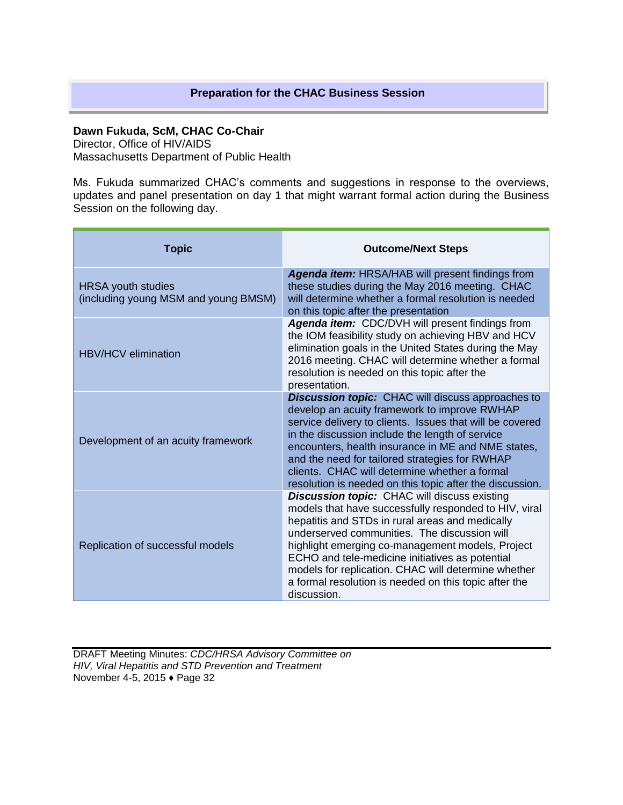## **Preparation for the CHAC Business Session**

**Dawn Fukuda, ScM, CHAC Co-Chair** 

Director, Office of HIV/AIDS

Massachusetts Department of Public Health

Ms. Fukuda summarized CHAC's comments and suggestions in response to the overviews, updates and panel presentation on day 1 that might warrant formal action during the Business Session on the following day.

| <b>Topic</b>                                                      | <b>Outcome/Next Steps</b>                                                                                                                                                                                                                                                                                                                                                                                                                             |
|-------------------------------------------------------------------|-------------------------------------------------------------------------------------------------------------------------------------------------------------------------------------------------------------------------------------------------------------------------------------------------------------------------------------------------------------------------------------------------------------------------------------------------------|
| <b>HRSA</b> youth studies<br>(including young MSM and young BMSM) | Agenda item: HRSA/HAB will present findings from<br>these studies during the May 2016 meeting. CHAC<br>will determine whether a formal resolution is needed<br>on this topic after the presentation                                                                                                                                                                                                                                                   |
| <b>HBV/HCV</b> elimination                                        | Agenda item: CDC/DVH will present findings from<br>the IOM feasibility study on achieving HBV and HCV<br>elimination goals in the United States during the May<br>2016 meeting. CHAC will determine whether a formal<br>resolution is needed on this topic after the<br>presentation.                                                                                                                                                                 |
| Development of an acuity framework                                | <b>Discussion topic:</b> CHAC will discuss approaches to<br>develop an acuity framework to improve RWHAP<br>service delivery to clients. Issues that will be covered<br>in the discussion include the length of service<br>encounters, health insurance in ME and NME states,<br>and the need for tailored strategies for RWHAP<br>clients. CHAC will determine whether a formal<br>resolution is needed on this topic after the discussion.          |
| Replication of successful models                                  | <b>Discussion topic:</b> CHAC will discuss existing<br>models that have successfully responded to HIV, viral<br>hepatitis and STDs in rural areas and medically<br>underserved communities. The discussion will<br>highlight emerging co-management models, Project<br>ECHO and tele-medicine initiatives as potential<br>models for replication. CHAC will determine whether<br>a formal resolution is needed on this topic after the<br>discussion. |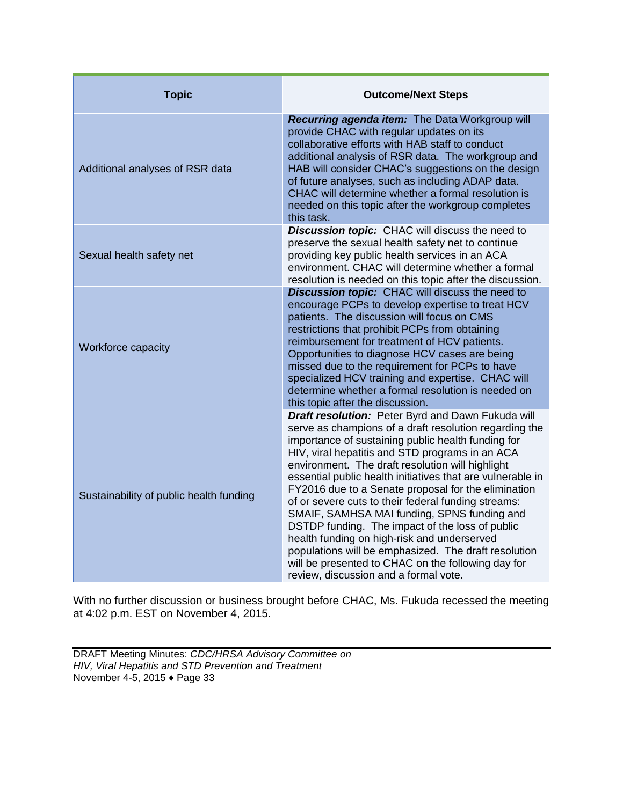| <b>Topic</b>                            | <b>Outcome/Next Steps</b>                                                                                                                                                                                                                                                                                                                                                                                                                                                                                                                                                                                                                                                                                                                                    |
|-----------------------------------------|--------------------------------------------------------------------------------------------------------------------------------------------------------------------------------------------------------------------------------------------------------------------------------------------------------------------------------------------------------------------------------------------------------------------------------------------------------------------------------------------------------------------------------------------------------------------------------------------------------------------------------------------------------------------------------------------------------------------------------------------------------------|
| Additional analyses of RSR data         | Recurring agenda item: The Data Workgroup will<br>provide CHAC with regular updates on its<br>collaborative efforts with HAB staff to conduct<br>additional analysis of RSR data. The workgroup and<br>HAB will consider CHAC's suggestions on the design<br>of future analyses, such as including ADAP data.<br>CHAC will determine whether a formal resolution is<br>needed on this topic after the workgroup completes<br>this task.                                                                                                                                                                                                                                                                                                                      |
| Sexual health safety net                | Discussion topic: CHAC will discuss the need to<br>preserve the sexual health safety net to continue<br>providing key public health services in an ACA<br>environment. CHAC will determine whether a formal<br>resolution is needed on this topic after the discussion.                                                                                                                                                                                                                                                                                                                                                                                                                                                                                      |
| Workforce capacity                      | <b>Discussion topic:</b> CHAC will discuss the need to<br>encourage PCPs to develop expertise to treat HCV<br>patients. The discussion will focus on CMS<br>restrictions that prohibit PCPs from obtaining<br>reimbursement for treatment of HCV patients.<br>Opportunities to diagnose HCV cases are being<br>missed due to the requirement for PCPs to have<br>specialized HCV training and expertise. CHAC will<br>determine whether a formal resolution is needed on<br>this topic after the discussion.                                                                                                                                                                                                                                                 |
| Sustainability of public health funding | Draft resolution: Peter Byrd and Dawn Fukuda will<br>serve as champions of a draft resolution regarding the<br>importance of sustaining public health funding for<br>HIV, viral hepatitis and STD programs in an ACA<br>environment. The draft resolution will highlight<br>essential public health initiatives that are vulnerable in<br>FY2016 due to a Senate proposal for the elimination<br>of or severe cuts to their federal funding streams:<br>SMAIF, SAMHSA MAI funding, SPNS funding and<br>DSTDP funding. The impact of the loss of public<br>health funding on high-risk and underserved<br>populations will be emphasized. The draft resolution<br>will be presented to CHAC on the following day for<br>review, discussion and a formal vote. |

With no further discussion or business brought before CHAC, Ms. Fukuda recessed the meeting at 4:02 p.m. EST on November 4, 2015.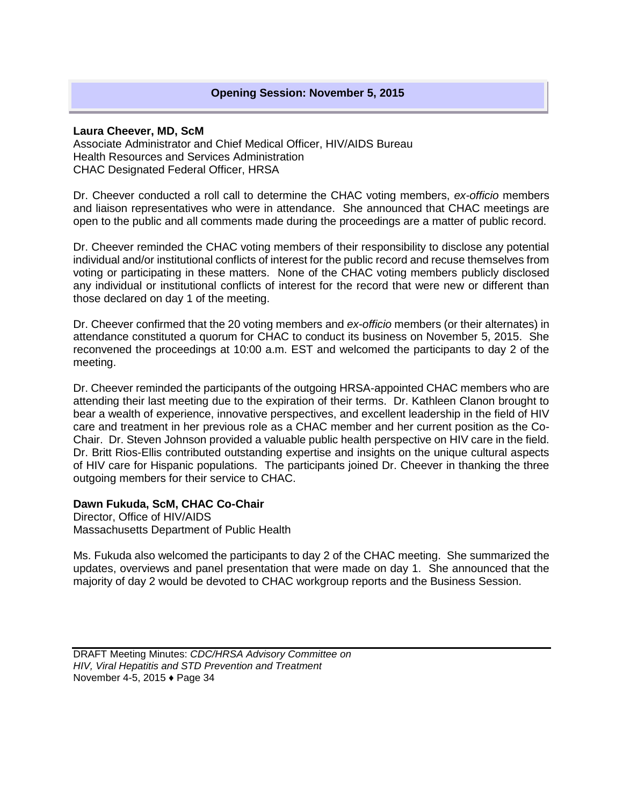#### **Laura Cheever, MD, ScM**

Associate Administrator and Chief Medical Officer, HIV/AIDS Bureau Health Resources and Services Administration CHAC Designated Federal Officer, HRSA

Dr. Cheever conducted a roll call to determine the CHAC voting members, *ex-officio* members and liaison representatives who were in attendance. She announced that CHAC meetings are open to the public and all comments made during the proceedings are a matter of public record.

Dr. Cheever reminded the CHAC voting members of their responsibility to disclose any potential individual and/or institutional conflicts of interest for the public record and recuse themselves from voting or participating in these matters. None of the CHAC voting members publicly disclosed any individual or institutional conflicts of interest for the record that were new or different than those declared on day 1 of the meeting.

Dr. Cheever confirmed that the 20 voting members and *ex-officio* members (or their alternates) in attendance constituted a quorum for CHAC to conduct its business on November 5, 2015. She reconvened the proceedings at 10:00 a.m. EST and welcomed the participants to day 2 of the meeting.

Dr. Cheever reminded the participants of the outgoing HRSA-appointed CHAC members who are attending their last meeting due to the expiration of their terms. Dr. Kathleen Clanon brought to bear a wealth of experience, innovative perspectives, and excellent leadership in the field of HIV care and treatment in her previous role as a CHAC member and her current position as the Co-Chair. Dr. Steven Johnson provided a valuable public health perspective on HIV care in the field. Dr. Britt Rios-Ellis contributed outstanding expertise and insights on the unique cultural aspects of HIV care for Hispanic populations. The participants joined Dr. Cheever in thanking the three outgoing members for their service to CHAC.

## **Dawn Fukuda, ScM, CHAC Co-Chair**

Director, Office of HIV/AIDS Massachusetts Department of Public Health

Ms. Fukuda also welcomed the participants to day 2 of the CHAC meeting. She summarized the updates, overviews and panel presentation that were made on day 1. She announced that the majority of day 2 would be devoted to CHAC workgroup reports and the Business Session.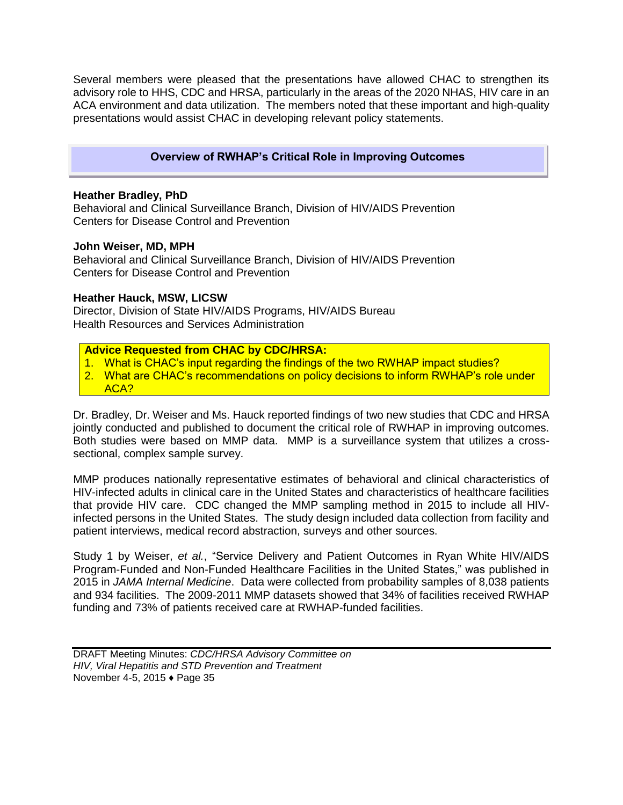Several members were pleased that the presentations have allowed CHAC to strengthen its advisory role to HHS, CDC and HRSA, particularly in the areas of the 2020 NHAS, HIV care in an ACA environment and data utilization. The members noted that these important and high-quality presentations would assist CHAC in developing relevant policy statements.

## **Overview of RWHAP's Critical Role in Improving Outcomes**

#### **Heather Bradley, PhD**

Behavioral and Clinical Surveillance Branch, Division of HIV/AIDS Prevention Centers for Disease Control and Prevention

#### **John Weiser, MD, MPH**

Behavioral and Clinical Surveillance Branch, Division of HIV/AIDS Prevention Centers for Disease Control and Prevention

#### **Heather Hauck, MSW, LICSW**

Director, Division of State HIV/AIDS Programs, HIV/AIDS Bureau Health Resources and Services Administration

#### **Advice Requested from CHAC by CDC/HRSA:**

- 1. What is CHAC's input regarding the findings of the two RWHAP impact studies?
- 2. What are CHAC's recommendations on policy decisions to inform RWHAP's role under ACA?

Dr. Bradley, Dr. Weiser and Ms. Hauck reported findings of two new studies that CDC and HRSA jointly conducted and published to document the critical role of RWHAP in improving outcomes. Both studies were based on MMP data. MMP is a surveillance system that utilizes a crosssectional, complex sample survey.

MMP produces nationally representative estimates of behavioral and clinical characteristics of HIV-infected adults in clinical care in the United States and characteristics of healthcare facilities that provide HIV care. CDC changed the MMP sampling method in 2015 to include all HIVinfected persons in the United States. The study design included data collection from facility and patient interviews, medical record abstraction, surveys and other sources.

Study 1 by Weiser, *et al.*, "Service Delivery and Patient Outcomes in Ryan White HIV/AIDS Program-Funded and Non-Funded Healthcare Facilities in the United States," was published in 2015 in *JAMA Internal Medicine*. Data were collected from probability samples of 8,038 patients and 934 facilities. The 2009-2011 MMP datasets showed that 34% of facilities received RWHAP funding and 73% of patients received care at RWHAP-funded facilities.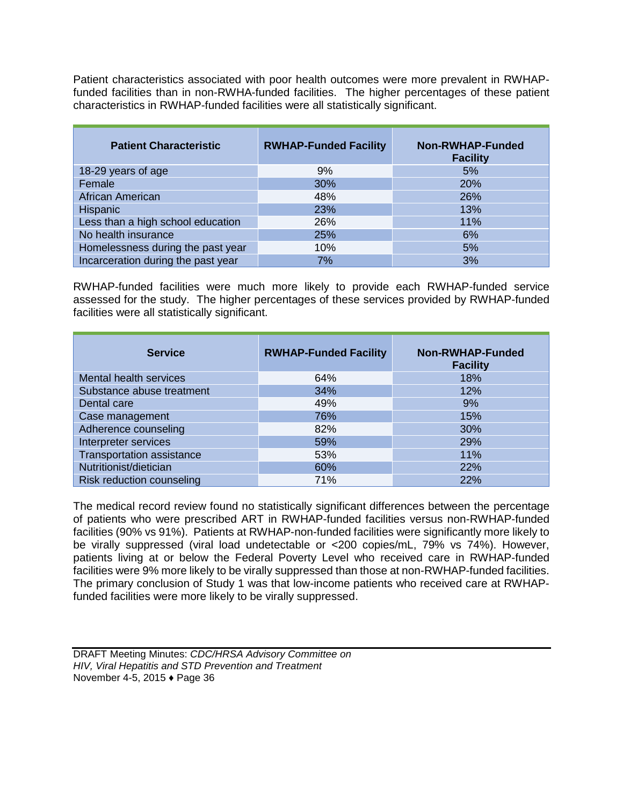Patient characteristics associated with poor health outcomes were more prevalent in RWHAPfunded facilities than in non-RWHA-funded facilities. The higher percentages of these patient characteristics in RWHAP-funded facilities were all statistically significant.

| <b>Patient Characteristic</b>      | <b>RWHAP-Funded Facility</b> | <b>Non-RWHAP-Funded</b><br><b>Facility</b> |
|------------------------------------|------------------------------|--------------------------------------------|
| 18-29 years of age                 | 9%                           | 5%                                         |
| Female                             | 30%                          | 20%                                        |
| African American                   | 48%                          | 26%                                        |
| Hispanic                           | 23%                          | 13%                                        |
| Less than a high school education  | 26%                          | 11%                                        |
| No health insurance                | 25%                          | 6%                                         |
| Homelessness during the past year  | 10%                          | 5%                                         |
| Incarceration during the past year | 7%                           | 3%                                         |

RWHAP-funded facilities were much more likely to provide each RWHAP-funded service assessed for the study. The higher percentages of these services provided by RWHAP-funded facilities were all statistically significant.

| <b>Service</b>                   | <b>RWHAP-Funded Facility</b> | <b>Non-RWHAP-Funded</b><br><b>Facility</b> |
|----------------------------------|------------------------------|--------------------------------------------|
| Mental health services           | 64%                          | 18%                                        |
| Substance abuse treatment        | 34%                          | 12%                                        |
| Dental care                      | 49%                          | 9%                                         |
| Case management                  | 76%                          | 15%                                        |
| Adherence counseling             | 82%                          | 30%                                        |
| Interpreter services             | 59%                          | 29%                                        |
| <b>Transportation assistance</b> | 53%                          | 11%                                        |
| Nutritionist/dietician           | 60%                          | 22%                                        |
| Risk reduction counseling        | 71%                          | 22%                                        |

The medical record review found no statistically significant differences between the percentage of patients who were prescribed ART in RWHAP-funded facilities versus non-RWHAP-funded facilities (90% vs 91%). Patients at RWHAP-non-funded facilities were significantly more likely to be virally suppressed (viral load undetectable or <200 copies/mL, 79% vs 74%). However, patients living at or below the Federal Poverty Level who received care in RWHAP-funded facilities were 9% more likely to be virally suppressed than those at non-RWHAP-funded facilities. The primary conclusion of Study 1 was that low-income patients who received care at RWHAPfunded facilities were more likely to be virally suppressed.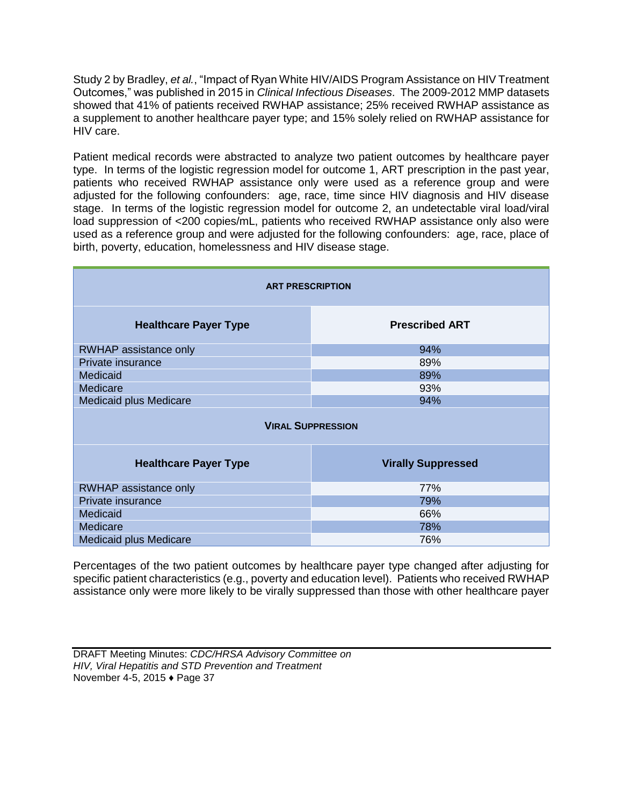Study 2 by Bradley, *et al.*, "Impact of Ryan White HIV/AIDS Program Assistance on HIV Treatment Outcomes," was published in 2015 in *Clinical Infectious Diseases*. The 2009-2012 MMP datasets showed that 41% of patients received RWHAP assistance; 25% received RWHAP assistance as a supplement to another healthcare payer type; and 15% solely relied on RWHAP assistance for HIV care.

Patient medical records were abstracted to analyze two patient outcomes by healthcare payer type. In terms of the logistic regression model for outcome 1, ART prescription in the past year, patients who received RWHAP assistance only were used as a reference group and were adjusted for the following confounders: age, race, time since HIV diagnosis and HIV disease stage. In terms of the logistic regression model for outcome 2, an undetectable viral load/viral load suppression of <200 copies/mL, patients who received RWHAP assistance only also were used as a reference group and were adjusted for the following confounders: age, race, place of birth, poverty, education, homelessness and HIV disease stage.

| <b>ART PRESCRIPTION</b>       |                           |  |
|-------------------------------|---------------------------|--|
| <b>Healthcare Payer Type</b>  | <b>Prescribed ART</b>     |  |
| <b>RWHAP assistance only</b>  | 94%                       |  |
| Private insurance             | 89%                       |  |
| Medicaid                      | 89%                       |  |
| Medicare                      | 93%                       |  |
| Medicaid plus Medicare        | 94%                       |  |
| <b>VIRAL SUPPRESSION</b>      |                           |  |
| <b>Healthcare Payer Type</b>  | <b>Virally Suppressed</b> |  |
| RWHAP assistance only         | 77%                       |  |
| Private insurance             | 79%                       |  |
| Medicaid                      | 66%                       |  |
| Medicare                      | 78%                       |  |
| <b>Medicaid plus Medicare</b> | 76%                       |  |

Percentages of the two patient outcomes by healthcare payer type changed after adjusting for specific patient characteristics (e.g., poverty and education level). Patients who received RWHAP assistance only were more likely to be virally suppressed than those with other healthcare payer

DRAFT Meeting Minutes: *CDC/HRSA Advisory Committee on HIV, Viral Hepatitis and STD Prevention and Treatment* November 4-5, 2015 ♦ Page 37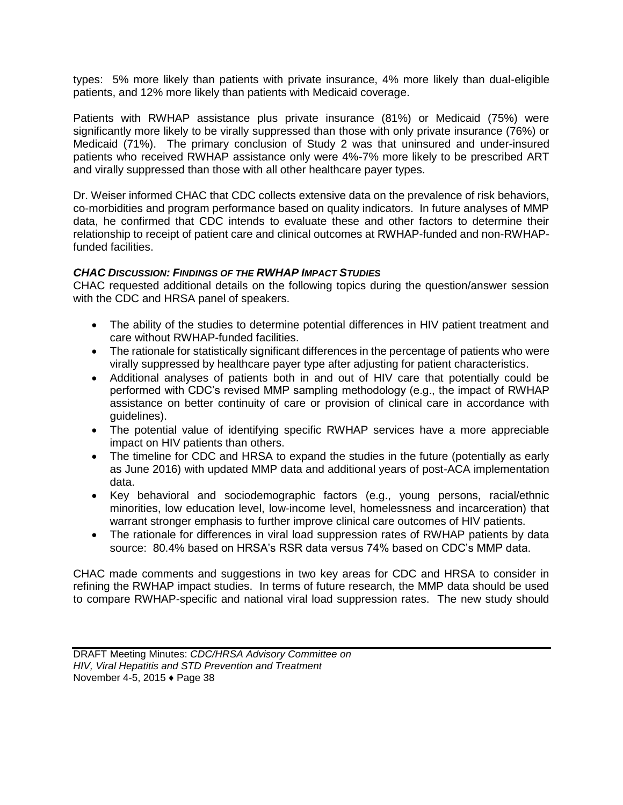types: 5% more likely than patients with private insurance, 4% more likely than dual-eligible patients, and 12% more likely than patients with Medicaid coverage.

Patients with RWHAP assistance plus private insurance (81%) or Medicaid (75%) were significantly more likely to be virally suppressed than those with only private insurance (76%) or Medicaid (71%). The primary conclusion of Study 2 was that uninsured and under-insured patients who received RWHAP assistance only were 4%-7% more likely to be prescribed ART and virally suppressed than those with all other healthcare payer types.

Dr. Weiser informed CHAC that CDC collects extensive data on the prevalence of risk behaviors, co-morbidities and program performance based on quality indicators. In future analyses of MMP data, he confirmed that CDC intends to evaluate these and other factors to determine their relationship to receipt of patient care and clinical outcomes at RWHAP-funded and non-RWHAPfunded facilities.

#### *CHAC DISCUSSION: FINDINGS OF THE RWHAP IMPACT STUDIES*

CHAC requested additional details on the following topics during the question/answer session with the CDC and HRSA panel of speakers.

- The ability of the studies to determine potential differences in HIV patient treatment and care without RWHAP-funded facilities.
- The rationale for statistically significant differences in the percentage of patients who were virally suppressed by healthcare payer type after adjusting for patient characteristics.
- Additional analyses of patients both in and out of HIV care that potentially could be performed with CDC's revised MMP sampling methodology (e.g., the impact of RWHAP assistance on better continuity of care or provision of clinical care in accordance with guidelines).
- The potential value of identifying specific RWHAP services have a more appreciable impact on HIV patients than others.
- The timeline for CDC and HRSA to expand the studies in the future (potentially as early as June 2016) with updated MMP data and additional years of post-ACA implementation data.
- Key behavioral and sociodemographic factors (e.g., young persons, racial/ethnic minorities, low education level, low-income level, homelessness and incarceration) that warrant stronger emphasis to further improve clinical care outcomes of HIV patients.
- The rationale for differences in viral load suppression rates of RWHAP patients by data source: 80.4% based on HRSA's RSR data versus 74% based on CDC's MMP data.

CHAC made comments and suggestions in two key areas for CDC and HRSA to consider in refining the RWHAP impact studies. In terms of future research, the MMP data should be used to compare RWHAP-specific and national viral load suppression rates. The new study should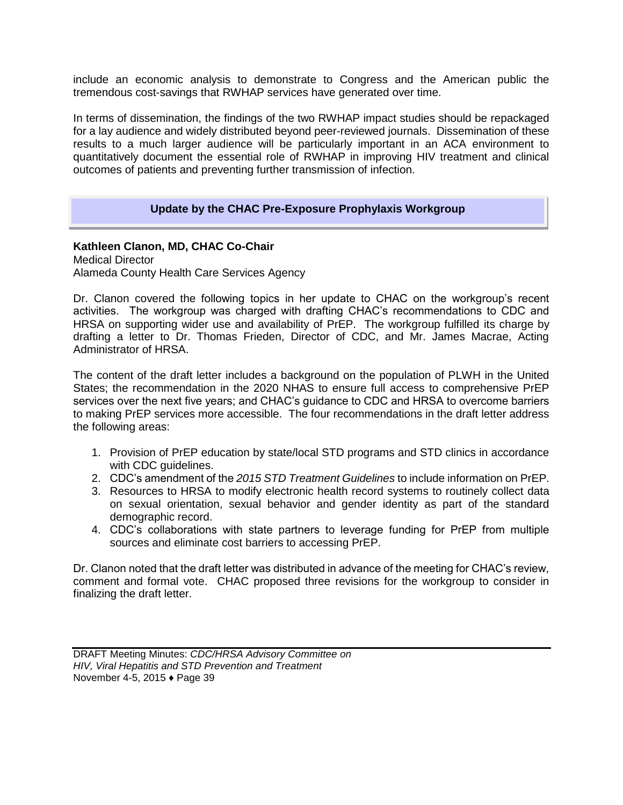include an economic analysis to demonstrate to Congress and the American public the tremendous cost-savings that RWHAP services have generated over time.

In terms of dissemination, the findings of the two RWHAP impact studies should be repackaged for a lay audience and widely distributed beyond peer-reviewed journals. Dissemination of these results to a much larger audience will be particularly important in an ACA environment to quantitatively document the essential role of RWHAP in improving HIV treatment and clinical outcomes of patients and preventing further transmission of infection.

## **Update by the CHAC Pre-Exposure Prophylaxis Workgroup**

**Kathleen Clanon, MD, CHAC Co-Chair**  Medical Director Alameda County Health Care Services Agency

Dr. Clanon covered the following topics in her update to CHAC on the workgroup's recent activities. The workgroup was charged with drafting CHAC's recommendations to CDC and HRSA on supporting wider use and availability of PrEP. The workgroup fulfilled its charge by drafting a letter to Dr. Thomas Frieden, Director of CDC, and Mr. James Macrae, Acting Administrator of HRSA.

The content of the draft letter includes a background on the population of PLWH in the United States; the recommendation in the 2020 NHAS to ensure full access to comprehensive PrEP services over the next five years; and CHAC's guidance to CDC and HRSA to overcome barriers to making PrEP services more accessible. The four recommendations in the draft letter address the following areas:

- 1. Provision of PrEP education by state/local STD programs and STD clinics in accordance with CDC guidelines.
- 2. CDC's amendment of the *2015 STD Treatment Guidelines* to include information on PrEP.
- 3. Resources to HRSA to modify electronic health record systems to routinely collect data on sexual orientation, sexual behavior and gender identity as part of the standard demographic record.
- 4. CDC's collaborations with state partners to leverage funding for PrEP from multiple sources and eliminate cost barriers to accessing PrEP.

Dr. Clanon noted that the draft letter was distributed in advance of the meeting for CHAC's review, comment and formal vote. CHAC proposed three revisions for the workgroup to consider in finalizing the draft letter.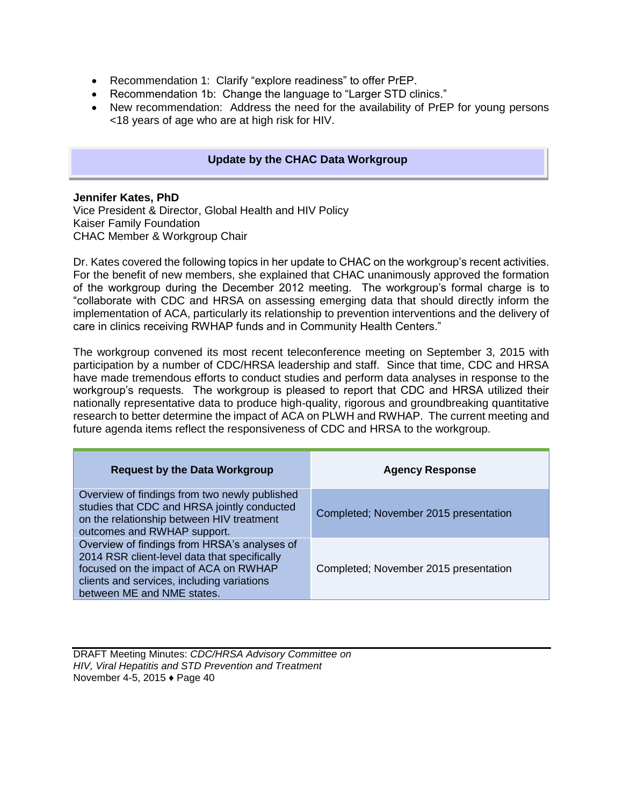- Recommendation 1: Clarify "explore readiness" to offer PrEP.
- Recommendation 1b: Change the language to "Larger STD clinics."
- New recommendation: Address the need for the availability of PrEP for young persons <18 years of age who are at high risk for HIV.

#### **Update by the CHAC Data Workgroup**

#### **Jennifer Kates, PhD**

Vice President & Director, Global Health and HIV Policy Kaiser Family Foundation CHAC Member & Workgroup Chair

Dr. Kates covered the following topics in her update to CHAC on the workgroup's recent activities. For the benefit of new members, she explained that CHAC unanimously approved the formation of the workgroup during the December 2012 meeting. The workgroup's formal charge is to "collaborate with CDC and HRSA on assessing emerging data that should directly inform the implementation of ACA, particularly its relationship to prevention interventions and the delivery of care in clinics receiving RWHAP funds and in Community Health Centers."

The workgroup convened its most recent teleconference meeting on September 3, 2015 with participation by a number of CDC/HRSA leadership and staff. Since that time, CDC and HRSA have made tremendous efforts to conduct studies and perform data analyses in response to the workgroup's requests. The workgroup is pleased to report that CDC and HRSA utilized their nationally representative data to produce high-quality, rigorous and groundbreaking quantitative research to better determine the impact of ACA on PLWH and RWHAP. The current meeting and future agenda items reflect the responsiveness of CDC and HRSA to the workgroup.

| <b>Request by the Data Workgroup</b>                                                                                                                                                                              | <b>Agency Response</b>                |
|-------------------------------------------------------------------------------------------------------------------------------------------------------------------------------------------------------------------|---------------------------------------|
| Overview of findings from two newly published<br>studies that CDC and HRSA jointly conducted<br>on the relationship between HIV treatment<br>outcomes and RWHAP support.                                          | Completed; November 2015 presentation |
| Overview of findings from HRSA's analyses of<br>2014 RSR client-level data that specifically<br>focused on the impact of ACA on RWHAP<br>clients and services, including variations<br>between ME and NME states. | Completed; November 2015 presentation |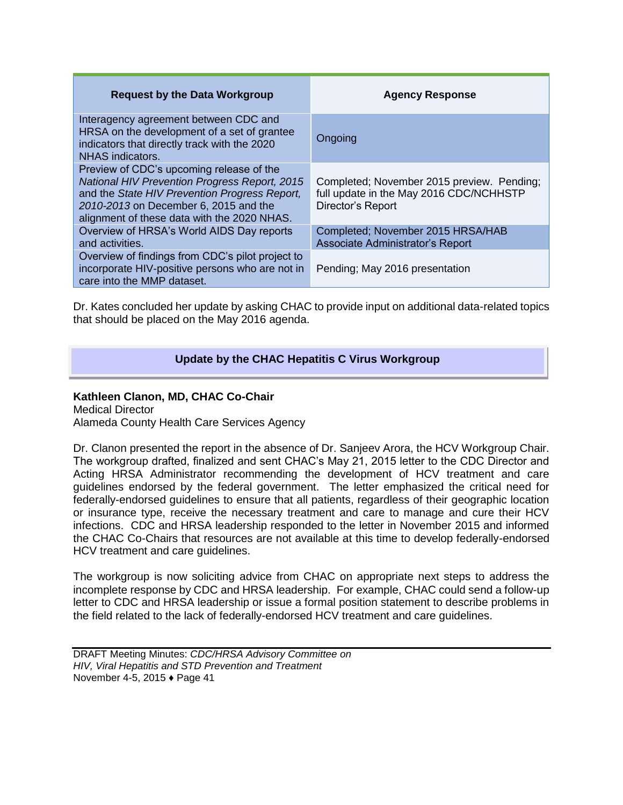| <b>Request by the Data Workgroup</b>                                                                                                                                                                                                      | <b>Agency Response</b>                                                                                     |
|-------------------------------------------------------------------------------------------------------------------------------------------------------------------------------------------------------------------------------------------|------------------------------------------------------------------------------------------------------------|
| Interagency agreement between CDC and<br>HRSA on the development of a set of grantee<br>indicators that directly track with the 2020<br>NHAS indicators.                                                                                  | Ongoing                                                                                                    |
| Preview of CDC's upcoming release of the<br><b>National HIV Prevention Progress Report, 2015</b><br>and the State HIV Prevention Progress Report,<br>2010-2013 on December 6, 2015 and the<br>alignment of these data with the 2020 NHAS. | Completed; November 2015 preview. Pending;<br>full update in the May 2016 CDC/NCHHSTP<br>Director's Report |
| Overview of HRSA's World AIDS Day reports<br>and activities.                                                                                                                                                                              | Completed; November 2015 HRSA/HAB<br>Associate Administrator's Report                                      |
| Overview of findings from CDC's pilot project to<br>incorporate HIV-positive persons who are not in<br>care into the MMP dataset.                                                                                                         | Pending; May 2016 presentation                                                                             |

Dr. Kates concluded her update by asking CHAC to provide input on additional data-related topics that should be placed on the May 2016 agenda.

## **Update by the CHAC Hepatitis C Virus Workgroup**

#### **Kathleen Clanon, MD, CHAC Co-Chair**

Medical Director Alameda County Health Care Services Agency

Dr. Clanon presented the report in the absence of Dr. Sanjeev Arora, the HCV Workgroup Chair. The workgroup drafted, finalized and sent CHAC's May 21, 2015 letter to the CDC Director and Acting HRSA Administrator recommending the development of HCV treatment and care guidelines endorsed by the federal government. The letter emphasized the critical need for federally-endorsed guidelines to ensure that all patients, regardless of their geographic location or insurance type, receive the necessary treatment and care to manage and cure their HCV infections. CDC and HRSA leadership responded to the letter in November 2015 and informed the CHAC Co-Chairs that resources are not available at this time to develop federally-endorsed HCV treatment and care guidelines.

The workgroup is now soliciting advice from CHAC on appropriate next steps to address the incomplete response by CDC and HRSA leadership. For example, CHAC could send a follow-up letter to CDC and HRSA leadership or issue a formal position statement to describe problems in the field related to the lack of federally-endorsed HCV treatment and care guidelines.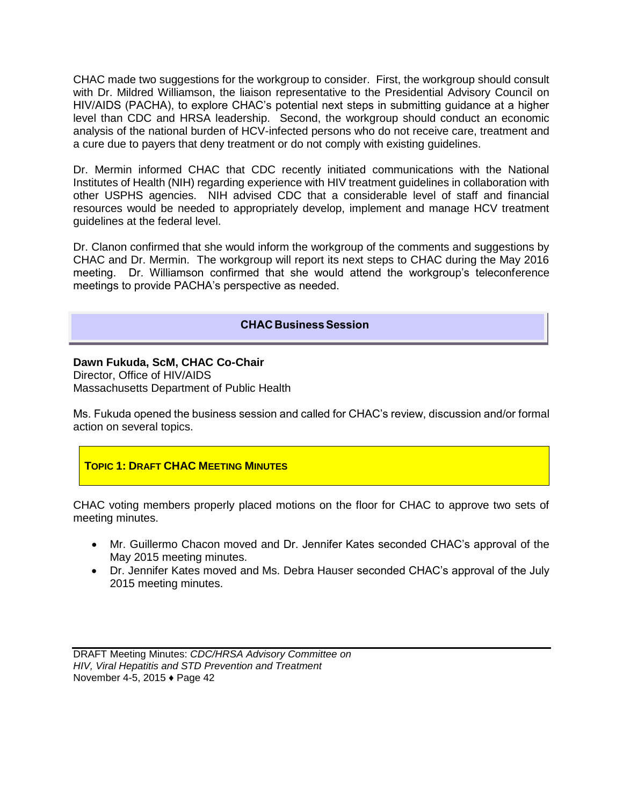CHAC made two suggestions for the workgroup to consider. First, the workgroup should consult with Dr. Mildred Williamson, the liaison representative to the Presidential Advisory Council on HIV/AIDS (PACHA), to explore CHAC's potential next steps in submitting guidance at a higher level than CDC and HRSA leadership. Second, the workgroup should conduct an economic analysis of the national burden of HCV-infected persons who do not receive care, treatment and a cure due to payers that deny treatment or do not comply with existing guidelines.

Dr. Mermin informed CHAC that CDC recently initiated communications with the National Institutes of Health (NIH) regarding experience with HIV treatment guidelines in collaboration with other USPHS agencies. NIH advised CDC that a considerable level of staff and financial resources would be needed to appropriately develop, implement and manage HCV treatment guidelines at the federal level.

Dr. Clanon confirmed that she would inform the workgroup of the comments and suggestions by CHAC and Dr. Mermin. The workgroup will report its next steps to CHAC during the May 2016 meeting. Dr. Williamson confirmed that she would attend the workgroup's teleconference meetings to provide PACHA's perspective as needed.

## **CHAC Business Session**

# **Dawn Fukuda, ScM, CHAC Co-Chair**

Director, Office of HIV/AIDS Massachusetts Department of Public Health

Ms. Fukuda opened the business session and called for CHAC's review, discussion and/or formal action on several topics.

## **TOPIC 1: DRAFT CHAC MEETING MINUTES**

CHAC voting members properly placed motions on the floor for CHAC to approve two sets of meeting minutes.

- Mr. Guillermo Chacon moved and Dr. Jennifer Kates seconded CHAC's approval of the May 2015 meeting minutes.
- Dr. Jennifer Kates moved and Ms. Debra Hauser seconded CHAC's approval of the July 2015 meeting minutes.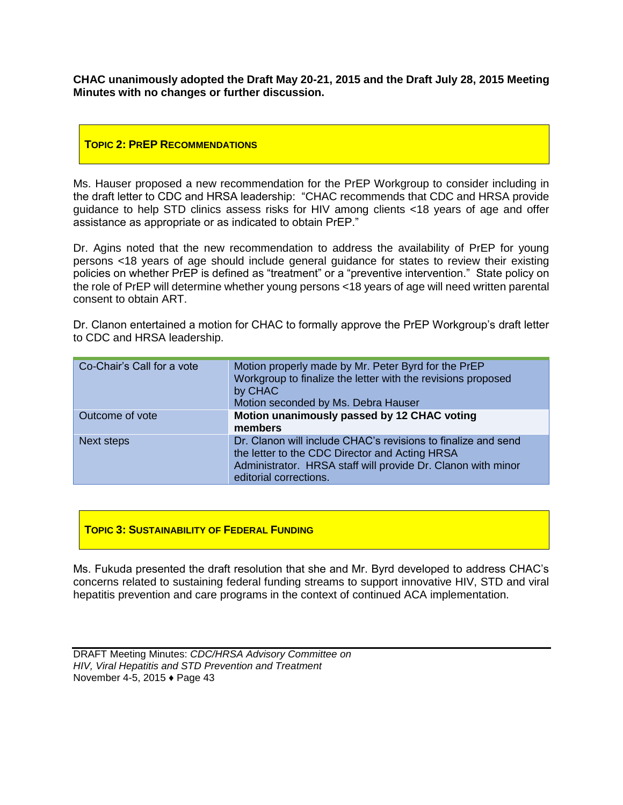**CHAC unanimously adopted the Draft May 20-21, 2015 and the Draft July 28, 2015 Meeting Minutes with no changes or further discussion.** 

#### **TOPIC 2: PREP RECOMMENDATIONS**

Ms. Hauser proposed a new recommendation for the PrEP Workgroup to consider including in the draft letter to CDC and HRSA leadership: "CHAC recommends that CDC and HRSA provide guidance to help STD clinics assess risks for HIV among clients <18 years of age and offer assistance as appropriate or as indicated to obtain PrEP."

Dr. Agins noted that the new recommendation to address the availability of PrEP for young persons <18 years of age should include general guidance for states to review their existing policies on whether PrEP is defined as "treatment" or a "preventive intervention." State policy on the role of PrEP will determine whether young persons <18 years of age will need written parental consent to obtain ART.

Dr. Clanon entertained a motion for CHAC to formally approve the PrEP Workgroup's draft letter to CDC and HRSA leadership.

| Co-Chair's Call for a vote | Motion properly made by Mr. Peter Byrd for the PrEP<br>Workgroup to finalize the letter with the revisions proposed<br>by CHAC<br>Motion seconded by Ms. Debra Hauser                                     |
|----------------------------|-----------------------------------------------------------------------------------------------------------------------------------------------------------------------------------------------------------|
| Outcome of vote            | Motion unanimously passed by 12 CHAC voting<br>members                                                                                                                                                    |
| Next steps                 | Dr. Clanon will include CHAC's revisions to finalize and send<br>the letter to the CDC Director and Acting HRSA<br>Administrator. HRSA staff will provide Dr. Clanon with minor<br>editorial corrections. |

#### **TOPIC 3: SUSTAINABILITY OF FEDERAL FUNDING**

Ms. Fukuda presented the draft resolution that she and Mr. Byrd developed to address CHAC's concerns related to sustaining federal funding streams to support innovative HIV, STD and viral hepatitis prevention and care programs in the context of continued ACA implementation.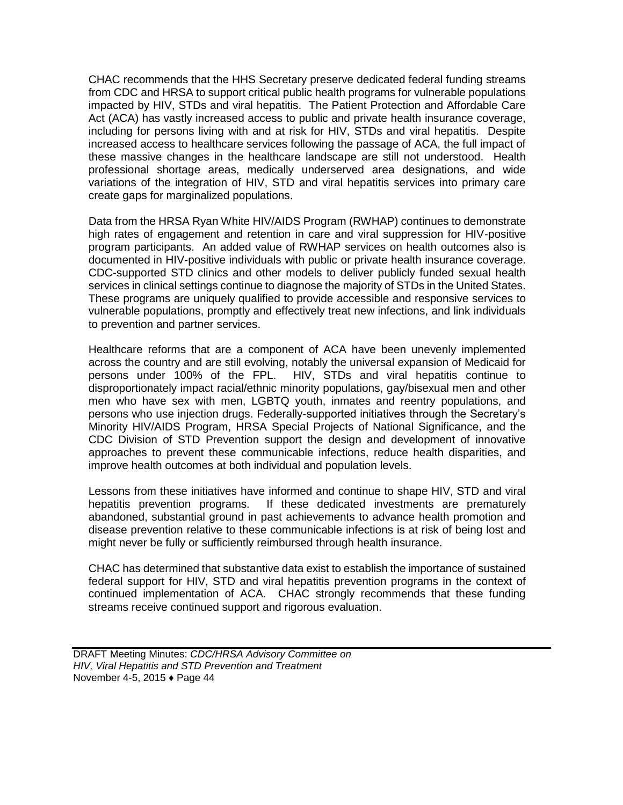CHAC recommends that the HHS Secretary preserve dedicated federal funding streams from CDC and HRSA to support critical public health programs for vulnerable populations impacted by HIV, STDs and viral hepatitis. The Patient Protection and Affordable Care Act (ACA) has vastly increased access to public and private health insurance coverage, including for persons living with and at risk for HIV, STDs and viral hepatitis. Despite increased access to healthcare services following the passage of ACA, the full impact of these massive changes in the healthcare landscape are still not understood. Health professional shortage areas, medically underserved area designations, and wide variations of the integration of HIV, STD and viral hepatitis services into primary care create gaps for marginalized populations.

Data from the HRSA Ryan White HIV/AIDS Program (RWHAP) continues to demonstrate high rates of engagement and retention in care and viral suppression for HIV-positive program participants. An added value of RWHAP services on health outcomes also is documented in HIV-positive individuals with public or private health insurance coverage. CDC-supported STD clinics and other models to deliver publicly funded sexual health services in clinical settings continue to diagnose the majority of STDs in the United States. These programs are uniquely qualified to provide accessible and responsive services to vulnerable populations, promptly and effectively treat new infections, and link individuals to prevention and partner services.

Healthcare reforms that are a component of ACA have been unevenly implemented across the country and are still evolving, notably the universal expansion of Medicaid for persons under 100% of the FPL. HIV, STDs and viral hepatitis continue to disproportionately impact racial/ethnic minority populations, gay/bisexual men and other men who have sex with men, LGBTQ youth, inmates and reentry populations, and persons who use injection drugs. Federally-supported initiatives through the Secretary's Minority HIV/AIDS Program, HRSA Special Projects of National Significance, and the CDC Division of STD Prevention support the design and development of innovative approaches to prevent these communicable infections, reduce health disparities, and improve health outcomes at both individual and population levels.

Lessons from these initiatives have informed and continue to shape HIV, STD and viral hepatitis prevention programs. If these dedicated investments are prematurely abandoned, substantial ground in past achievements to advance health promotion and disease prevention relative to these communicable infections is at risk of being lost and might never be fully or sufficiently reimbursed through health insurance.

CHAC has determined that substantive data exist to establish the importance of sustained federal support for HIV, STD and viral hepatitis prevention programs in the context of continued implementation of ACA. CHAC strongly recommends that these funding streams receive continued support and rigorous evaluation.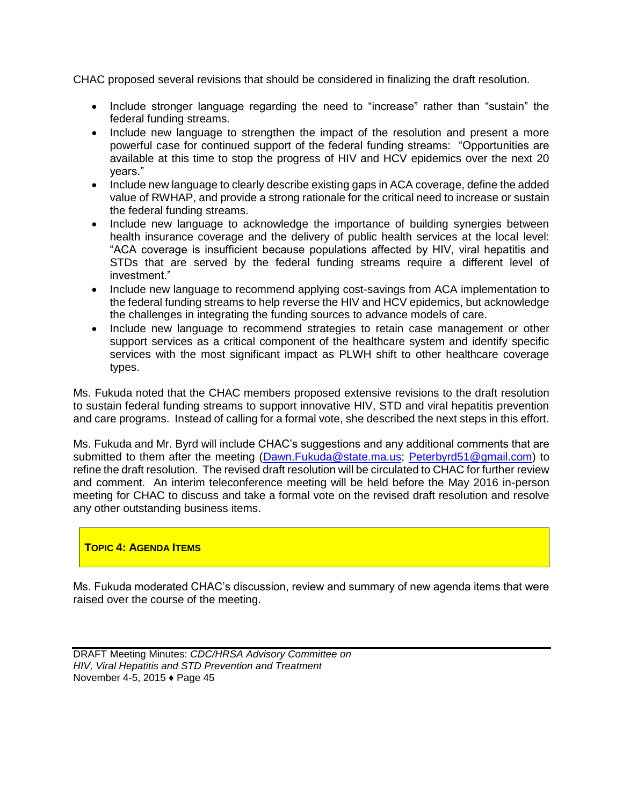CHAC proposed several revisions that should be considered in finalizing the draft resolution.

- Include stronger language regarding the need to "increase" rather than "sustain" the federal funding streams.
- Include new language to strengthen the impact of the resolution and present a more powerful case for continued support of the federal funding streams: "Opportunities are available at this time to stop the progress of HIV and HCV epidemics over the next 20 years."
- Include new language to clearly describe existing gaps in ACA coverage, define the added value of RWHAP, and provide a strong rationale for the critical need to increase or sustain the federal funding streams.
- Include new language to acknowledge the importance of building synergies between health insurance coverage and the delivery of public health services at the local level: "ACA coverage is insufficient because populations affected by HIV, viral hepatitis and STDs that are served by the federal funding streams require a different level of investment."
- Include new language to recommend applying cost-savings from ACA implementation to the federal funding streams to help reverse the HIV and HCV epidemics, but acknowledge the challenges in integrating the funding sources to advance models of care.
- Include new language to recommend strategies to retain case management or other support services as a critical component of the healthcare system and identify specific services with the most significant impact as PLWH shift to other healthcare coverage types.

Ms. Fukuda noted that the CHAC members proposed extensive revisions to the draft resolution to sustain federal funding streams to support innovative HIV, STD and viral hepatitis prevention and care programs. Instead of calling for a formal vote, she described the next steps in this effort.

Ms. Fukuda and Mr. Byrd will include CHAC's suggestions and any additional comments that are submitted to them after the meeting [\(Dawn.Fukuda@state.ma.us;](mailto:Dawn.Fukuda@state.ma.us) [Peterbyrd51@gmail.com\)](mailto:Peterbyrd51@gmail.com) to refine the draft resolution. The revised draft resolution will be circulated to CHAC for further review and comment. An interim teleconference meeting will be held before the May 2016 in-person meeting for CHAC to discuss and take a formal vote on the revised draft resolution and resolve any other outstanding business items.

## **TOPIC 4: AGENDA ITEMS**

Ms. Fukuda moderated CHAC's discussion, review and summary of new agenda items that were raised over the course of the meeting.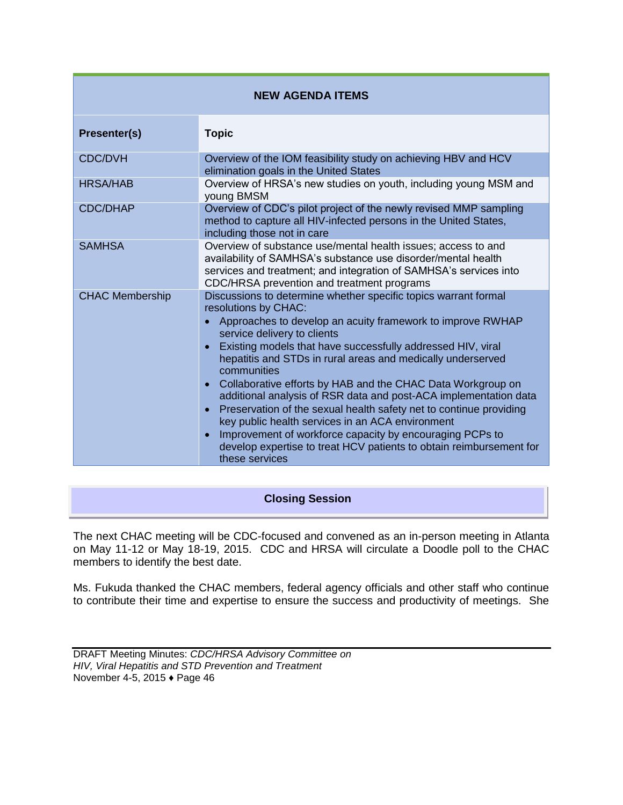| <b>NEW AGENDA ITEMS</b> |                                                                                                                                                                                                                                                                                                                                                                                                                                                                                                                                                                                                                                                                                                                                                     |
|-------------------------|-----------------------------------------------------------------------------------------------------------------------------------------------------------------------------------------------------------------------------------------------------------------------------------------------------------------------------------------------------------------------------------------------------------------------------------------------------------------------------------------------------------------------------------------------------------------------------------------------------------------------------------------------------------------------------------------------------------------------------------------------------|
| <b>Presenter(s)</b>     | <b>Topic</b>                                                                                                                                                                                                                                                                                                                                                                                                                                                                                                                                                                                                                                                                                                                                        |
| <b>CDC/DVH</b>          | Overview of the IOM feasibility study on achieving HBV and HCV<br>elimination goals in the United States                                                                                                                                                                                                                                                                                                                                                                                                                                                                                                                                                                                                                                            |
| <b>HRSA/HAB</b>         | Overview of HRSA's new studies on youth, including young MSM and<br>young BMSM                                                                                                                                                                                                                                                                                                                                                                                                                                                                                                                                                                                                                                                                      |
| <b>CDC/DHAP</b>         | Overview of CDC's pilot project of the newly revised MMP sampling<br>method to capture all HIV-infected persons in the United States,<br>including those not in care                                                                                                                                                                                                                                                                                                                                                                                                                                                                                                                                                                                |
| <b>SAMHSA</b>           | Overview of substance use/mental health issues; access to and<br>availability of SAMHSA's substance use disorder/mental health<br>services and treatment; and integration of SAMHSA's services into<br>CDC/HRSA prevention and treatment programs                                                                                                                                                                                                                                                                                                                                                                                                                                                                                                   |
| <b>CHAC Membership</b>  | Discussions to determine whether specific topics warrant formal<br>resolutions by CHAC:<br>Approaches to develop an acuity framework to improve RWHAP<br>service delivery to clients<br>Existing models that have successfully addressed HIV, viral<br>hepatitis and STDs in rural areas and medically underserved<br>communities<br>Collaborative efforts by HAB and the CHAC Data Workgroup on<br>additional analysis of RSR data and post-ACA implementation data<br>Preservation of the sexual health safety net to continue providing<br>key public health services in an ACA environment<br>Improvement of workforce capacity by encouraging PCPs to<br>develop expertise to treat HCV patients to obtain reimbursement for<br>these services |

## **Closing Session**

The next CHAC meeting will be CDC-focused and convened as an in-person meeting in Atlanta on May 11-12 or May 18-19, 2015. CDC and HRSA will circulate a Doodle poll to the CHAC members to identify the best date.

Ms. Fukuda thanked the CHAC members, federal agency officials and other staff who continue to contribute their time and expertise to ensure the success and productivity of meetings. She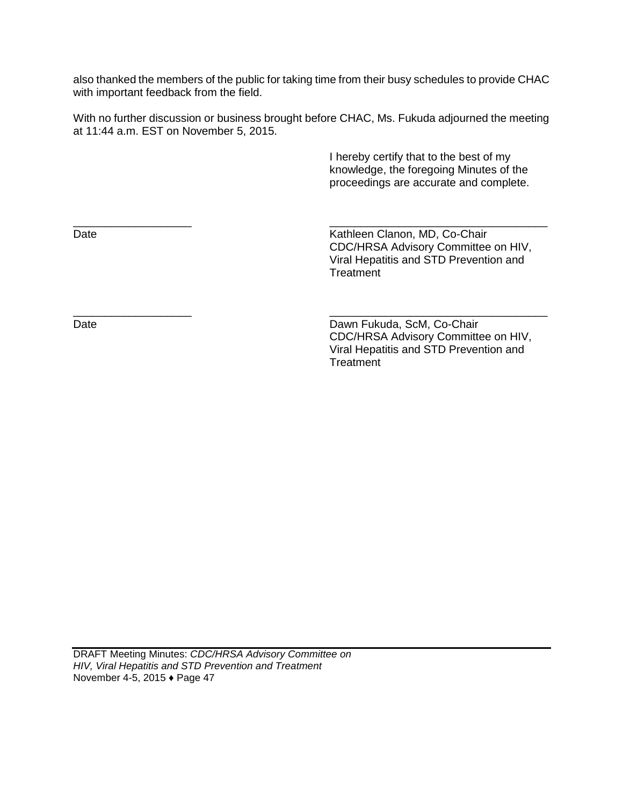also thanked the members of the public for taking time from their busy schedules to provide CHAC with important feedback from the field.

With no further discussion or business brought before CHAC, Ms. Fukuda adjourned the meeting at 11:44 a.m. EST on November 5, 2015.

\_\_\_\_\_\_\_\_\_\_\_\_\_\_\_\_\_\_\_ \_\_\_\_\_\_\_\_\_\_\_\_\_\_\_\_\_\_\_\_\_\_\_\_\_\_\_\_\_\_\_\_\_\_\_

\_\_\_\_\_\_\_\_\_\_\_\_\_\_\_\_\_\_\_ \_\_\_\_\_\_\_\_\_\_\_\_\_\_\_\_\_\_\_\_\_\_\_\_\_\_\_\_\_\_\_\_\_\_\_

 I hereby certify that to the best of my knowledge, the foregoing Minutes of the proceedings are accurate and complete.

Date **Date Clanon, MD, Co-Chair Clanon**, MD, Co-Chair CDC/HRSA Advisory Committee on HIV, Viral Hepatitis and STD Prevention and **Treatment** 

Date Date Dawn Fukuda, ScM, Co-Chair CDC/HRSA Advisory Committee on HIV, Viral Hepatitis and STD Prevention and **Treatment**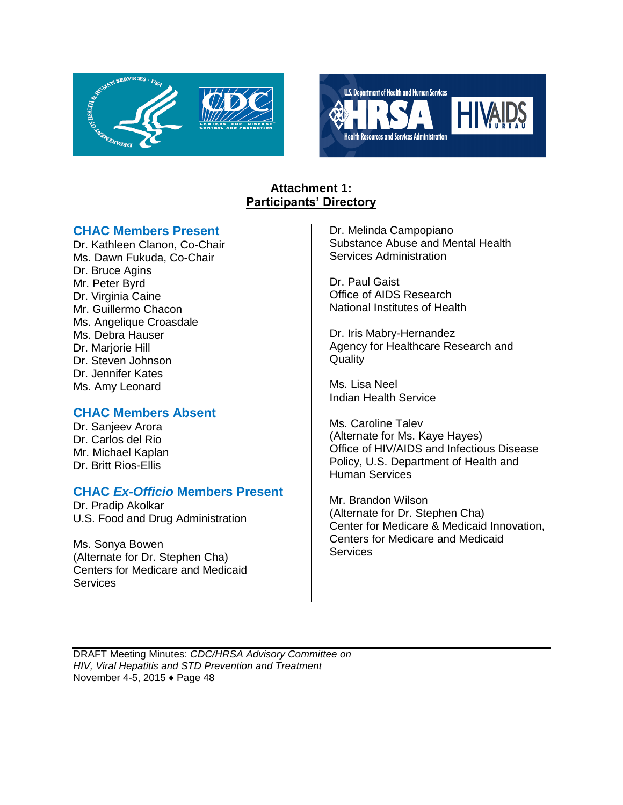



## **Attachment 1: Participants' Directory**

## **CHAC Members Present**

Dr. Kathleen Clanon, Co-Chair Ms. Dawn Fukuda, Co-Chair Dr. Bruce Agins Mr. Peter Byrd Dr. Virginia Caine Mr. Guillermo Chacon Ms. Angelique Croasdale Ms. Debra Hauser Dr. Marjorie Hill Dr. Steven Johnson Dr. Jennifer Kates Ms. Amy Leonard

## **CHAC Members Absent**

Dr. Sanjeev Arora Dr. Carlos del Rio Mr. Michael Kaplan Dr. Britt Rios-Ellis

## **CHAC** *Ex-Officio* **Members Present**

Dr. Pradip Akolkar U.S. Food and Drug Administration

Ms. Sonya Bowen (Alternate for Dr. Stephen Cha) Centers for Medicare and Medicaid **Services** 

Dr. Melinda Campopiano Substance Abuse and Mental Health Services Administration

Dr. Paul Gaist Office of AIDS Research National Institutes of Health

Dr. Iris Mabry-Hernandez Agency for Healthcare Research and **Quality** 

Ms. Lisa Neel Indian Health Service

Ms. Caroline Talev (Alternate for Ms. Kaye Hayes) Office of HIV/AIDS and Infectious Disease Policy, U.S. Department of Health and Human Services

Mr. Brandon Wilson (Alternate for Dr. Stephen Cha) Center for Medicare & Medicaid Innovation, Centers for Medicare and Medicaid **Services**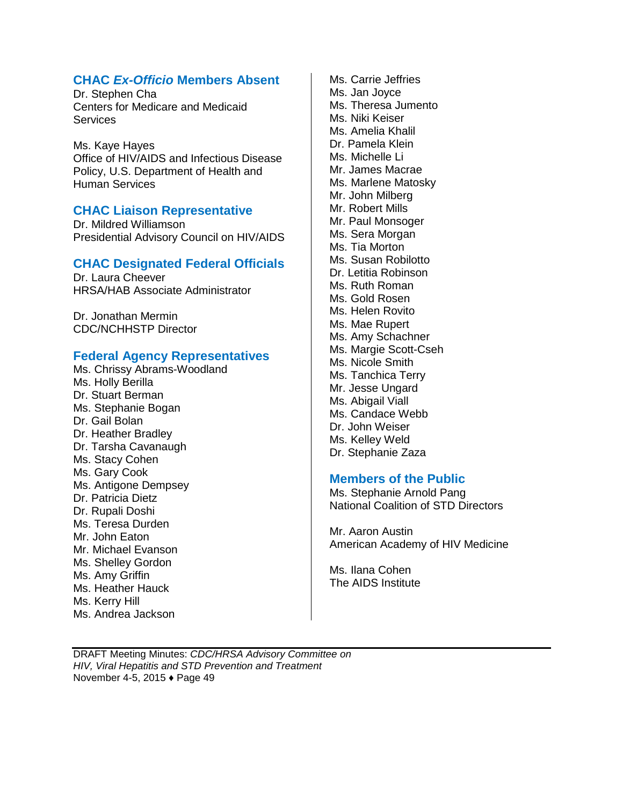## **CHAC** *Ex-Officio* **Members Absent**

Dr. Stephen Cha Centers for Medicare and Medicaid **Services** 

Ms. Kaye Hayes Office of HIV/AIDS and Infectious Disease Policy, U.S. Department of Health and Human Services

## **CHAC Liaison Representative**

Dr. Mildred Williamson Presidential Advisory Council on HIV/AIDS

## **CHAC Designated Federal Officials**

Dr. Laura Cheever HRSA/HAB Associate Administrator

Dr. Jonathan Mermin CDC/NCHHSTP Director

## **Federal Agency Representatives**

Ms. Chrissy Abrams-Woodland Ms. Holly Berilla Dr. Stuart Berman Ms. Stephanie Bogan Dr. Gail Bolan Dr. Heather Bradley Dr. Tarsha Cavanaugh Ms. Stacy Cohen Ms. Gary Cook Ms. Antigone Dempsey Dr. Patricia Dietz Dr. Rupali Doshi Ms. Teresa Durden Mr. John Eaton Mr. Michael Evanson Ms. Shelley Gordon Ms. Amy Griffin Ms. Heather Hauck Ms. Kerry Hill Ms. Andrea Jackson

Ms. Carrie Jeffries Ms. Jan Joyce Ms. Theresa Jumento Ms. Niki Keiser Ms. Amelia Khalil Dr. Pamela Klein Ms. Michelle Li Mr. James Macrae Ms. Marlene Matosky Mr. John Milberg Mr. Robert Mills Mr. Paul Monsoger Ms. Sera Morgan Ms. Tia Morton Ms. Susan Robilotto Dr. Letitia Robinson Ms. Ruth Roman Ms. Gold Rosen Ms. Helen Rovito Ms. Mae Rupert Ms. Amy Schachner Ms. Margie Scott-Cseh Ms. Nicole Smith Ms. Tanchica Terry Mr. Jesse Ungard Ms. Abigail Viall Ms. Candace Webb Dr. John Weiser Ms. Kelley Weld Dr. Stephanie Zaza

## **Members of the Public**

Ms. Stephanie Arnold Pang National Coalition of STD Directors

Mr. Aaron Austin American Academy of HIV Medicine

Ms. Ilana Cohen The AIDS Institute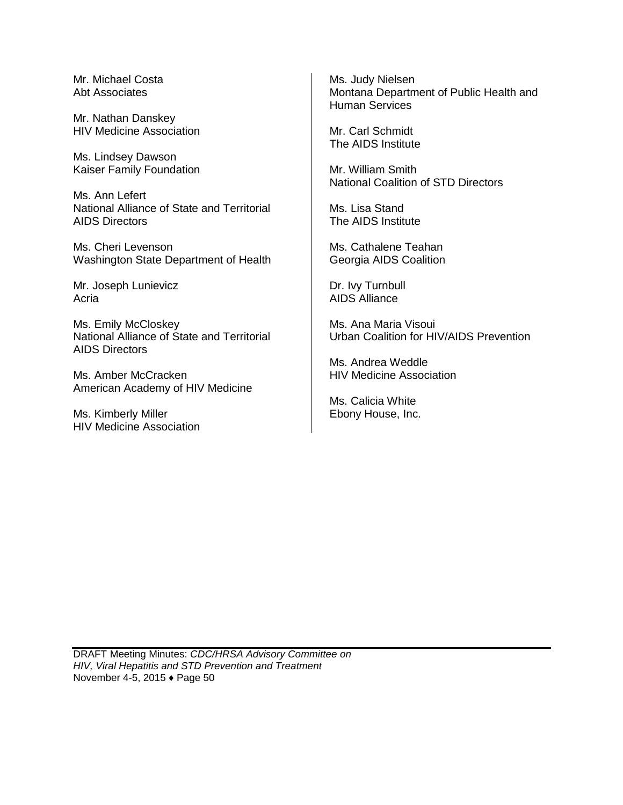Mr. Michael Costa Abt Associates

Mr. Nathan Danskey HIV Medicine Association

Ms. Lindsey Dawson Kaiser Family Foundation

Ms. Ann Lefert National Alliance of State and Territorial AIDS Directors

Ms. Cheri Levenson Washington State Department of Health

Mr. Joseph Lunievicz Acria

Ms. Emily McCloskey National Alliance of State and Territorial AIDS Directors

Ms. Amber McCracken American Academy of HIV Medicine

Ms. Kimberly Miller HIV Medicine Association Ms. Judy Nielsen Montana Department of Public Health and Human Services

Mr. Carl Schmidt The AIDS Institute

Mr. William Smith National Coalition of STD Directors

Ms. Lisa Stand The AIDS Institute

Ms. Cathalene Teahan Georgia AIDS Coalition

Dr. Ivy Turnbull AIDS Alliance

Ms. Ana Maria Visoui Urban Coalition for HIV/AIDS Prevention

Ms. Andrea Weddle HIV Medicine Association

Ms. Calicia White Ebony House, Inc.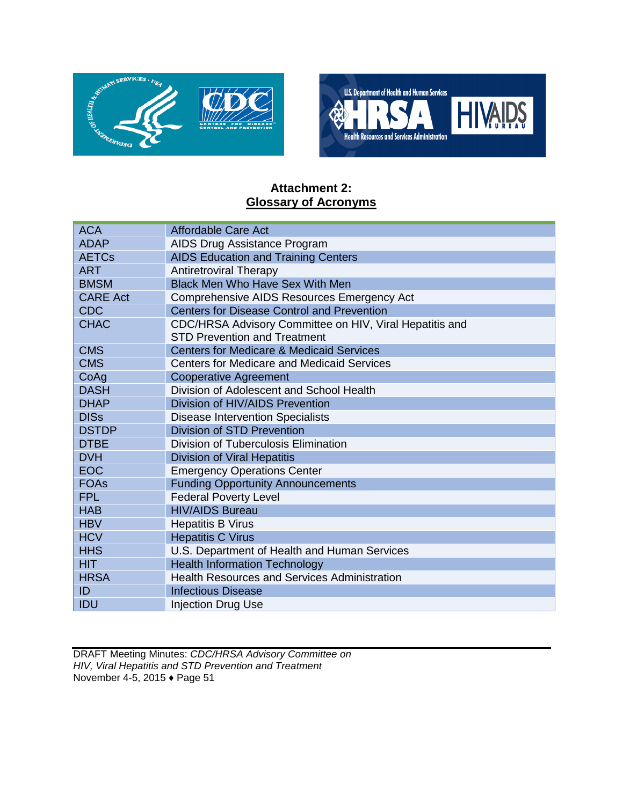



## **Attachment 2: Glossary of Acronyms**

| <b>ACA</b>      | <b>Affordable Care Act</b>                                                                     |
|-----------------|------------------------------------------------------------------------------------------------|
| <b>ADAP</b>     | AIDS Drug Assistance Program                                                                   |
| <b>AETCs</b>    | <b>AIDS Education and Training Centers</b>                                                     |
| <b>ART</b>      | <b>Antiretroviral Therapy</b>                                                                  |
| <b>BMSM</b>     | <b>Black Men Who Have Sex With Men</b>                                                         |
| <b>CARE Act</b> | Comprehensive AIDS Resources Emergency Act                                                     |
| <b>CDC</b>      | <b>Centers for Disease Control and Prevention</b>                                              |
| <b>CHAC</b>     | CDC/HRSA Advisory Committee on HIV, Viral Hepatitis and<br><b>STD Prevention and Treatment</b> |
| <b>CMS</b>      | <b>Centers for Medicare &amp; Medicaid Services</b>                                            |
| <b>CMS</b>      | Centers for Medicare and Medicaid Services                                                     |
| CoAg            | <b>Cooperative Agreement</b>                                                                   |
| <b>DASH</b>     | Division of Adolescent and School Health                                                       |
| <b>DHAP</b>     | Division of HIV/AIDS Prevention                                                                |
| <b>DISs</b>     | <b>Disease Intervention Specialists</b>                                                        |
| <b>DSTDP</b>    | <b>Division of STD Prevention</b>                                                              |
| <b>DTBE</b>     | <b>Division of Tuberculosis Elimination</b>                                                    |
| <b>DVH</b>      | <b>Division of Viral Hepatitis</b>                                                             |
| <b>EOC</b>      | <b>Emergency Operations Center</b>                                                             |
| <b>FOAs</b>     | <b>Funding Opportunity Announcements</b>                                                       |
| <b>FPL</b>      | <b>Federal Poverty Level</b>                                                                   |
| <b>HAB</b>      | <b>HIV/AIDS Bureau</b>                                                                         |
| <b>HBV</b>      | <b>Hepatitis B Virus</b>                                                                       |
| <b>HCV</b>      | <b>Hepatitis C Virus</b>                                                                       |
| <b>HHS</b>      | U.S. Department of Health and Human Services                                                   |
| <b>HIT</b>      | <b>Health Information Technology</b>                                                           |
| <b>HRSA</b>     | <b>Health Resources and Services Administration</b>                                            |
| ID              | <b>Infectious Disease</b>                                                                      |
| IDU             | <b>Injection Drug Use</b>                                                                      |